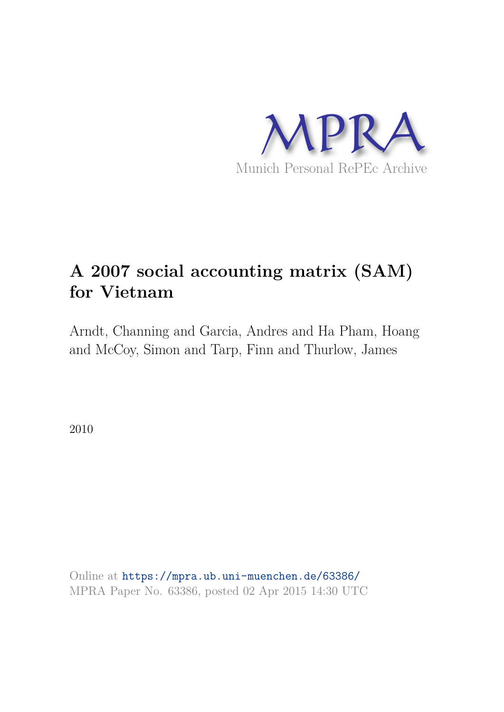

# **A 2007 social accounting matrix (SAM) for Vietnam**

Arndt, Channing and Garcia, Andres and Ha Pham, Hoang and McCoy, Simon and Tarp, Finn and Thurlow, James

2010

Online at https://mpra.ub.uni-muenchen.de/63386/ MPRA Paper No. 63386, posted 02 Apr 2015 14:30 UTC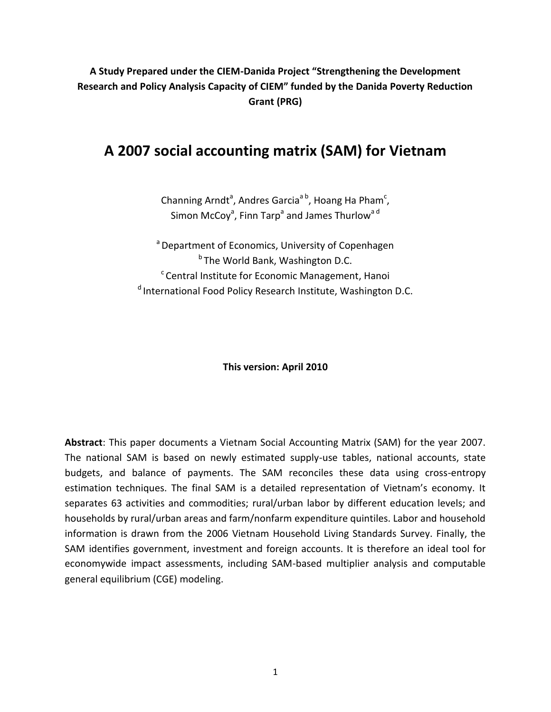**A Study Prepared under the CIEM-Danida Project "Strengthening the Development Research and Policy Analysis Capacity of CIEM" funded by the Danida Poverty Reduction Grant (PRG)** 

# **A 2007 social accounting matrix (SAM) for Vietnam**

Channing Arndt<sup>a</sup>, Andres Garcia<sup>a b</sup>, Hoang Ha Pham<sup>c</sup>, Simon McCoy<sup>a</sup>, Finn Tarp<sup>a</sup> and James Thurlow<sup>a d</sup>

<sup>a</sup> Department of Economics, University of Copenhagen  $b$ The World Bank, Washington D.C.  $\textdegree$  Central Institute for Economic Management, Hanoi  $d$  International Food Policy Research Institute, Washington D.C.

#### **This version: April 2010**

**Abstract**: This paper documents a Vietnam Social Accounting Matrix (SAM) for the year 2007. The national SAM is based on newly estimated supply-use tables, national accounts, state budgets, and balance of payments. The SAM reconciles these data using cross-entropy estimation techniques. The final SAM is a detailed representation of Vietnam's economy. It separates 63 activities and commodities; rural/urban labor by different education levels; and households by rural/urban areas and farm/nonfarm expenditure quintiles. Labor and household information is drawn from the 2006 Vietnam Household Living Standards Survey. Finally, the SAM identifies government, investment and foreign accounts. It is therefore an ideal tool for economywide impact assessments, including SAM-based multiplier analysis and computable general equilibrium (CGE) modeling.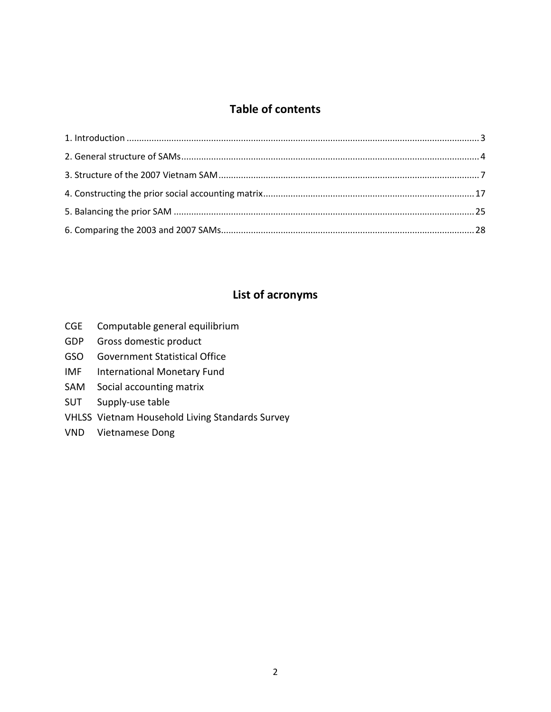# **Table of contents**

# **List of acronyms**

- CGE Computable general equilibrium
- GDP Gross domestic product
- GSO Government Statistical Office
- IMF International Monetary Fund
- SAM Social accounting matrix
- SUT Supply-use table
- VHLSS Vietnam Household Living Standards Survey
- VND Vietnamese Dong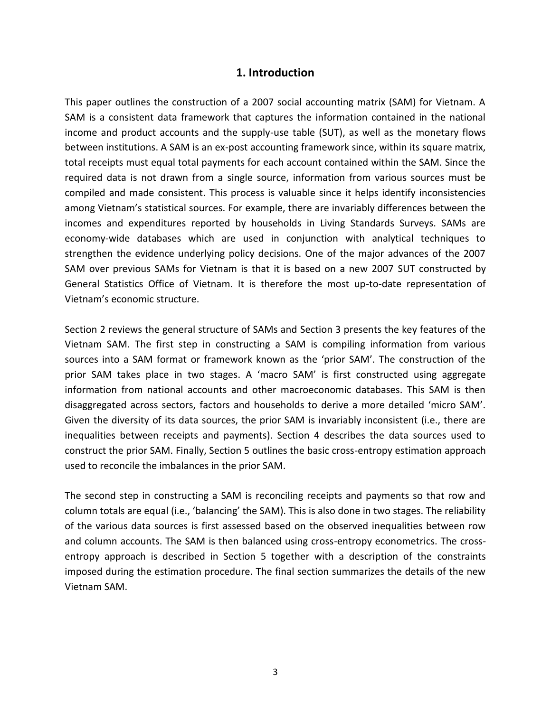#### **1. Introduction**

This paper outlines the construction of a 2007 social accounting matrix (SAM) for Vietnam. A SAM is a consistent data framework that captures the information contained in the national income and product accounts and the supply-use table (SUT), as well as the monetary flows between institutions. A SAM is an ex-post accounting framework since, within its square matrix, total receipts must equal total payments for each account contained within the SAM. Since the required data is not drawn from a single source, information from various sources must be compiled and made consistent. This process is valuable since it helps identify inconsistencies among Vietnam's statistical sources. For example, there are invariably differences between the incomes and expenditures reported by households in Living Standards Surveys. SAMs are economy-wide databases which are used in conjunction with analytical techniques to strengthen the evidence underlying policy decisions. One of the major advances of the 2007 SAM over previous SAMs for Vietnam is that it is based on a new 2007 SUT constructed by General Statistics Office of Vietnam. It is therefore the most up-to-date representation of Vietnam's economic structure.

Section 2 reviews the general structure of SAMs and Section 3 presents the key features of the Vietnam SAM. The first step in constructing a SAM is compiling information from various sources into a SAM format or framework known as the 'prior SAM'. The construction of the prior SAM takes place in two stages. A 'macro SAM' is first constructed using aggregate information from national accounts and other macroeconomic databases. This SAM is then disaggregated across sectors, factors and households to derive a more detailed 'micro SAM'. Given the diversity of its data sources, the prior SAM is invariably inconsistent (i.e., there are inequalities between receipts and payments). Section 4 describes the data sources used to construct the prior SAM. Finally, Section 5 outlines the basic cross-entropy estimation approach used to reconcile the imbalances in the prior SAM.

The second step in constructing a SAM is reconciling receipts and payments so that row and column totals are equal (i.e., 'balancing' the SAM). This is also done in two stages. The reliability of the various data sources is first assessed based on the observed inequalities between row and column accounts. The SAM is then balanced using cross-entropy econometrics. The crossentropy approach is described in Section 5 together with a description of the constraints imposed during the estimation procedure. The final section summarizes the details of the new Vietnam SAM.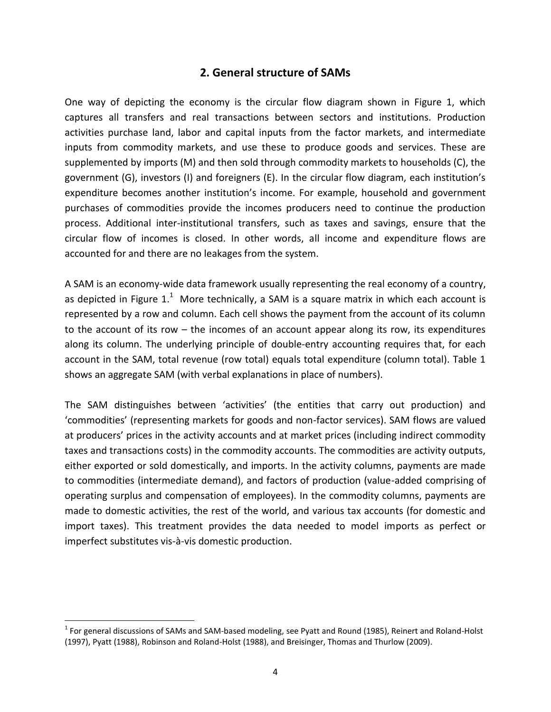## **2. General structure of SAMs**

One way of depicting the economy is the circular flow diagram shown in Figure 1, which captures all transfers and real transactions between sectors and institutions. Production activities purchase land, labor and capital inputs from the factor markets, and intermediate inputs from commodity markets, and use these to produce goods and services. These are supplemented by imports (M) and then sold through commodity markets to households (C), the government (G), investors (I) and foreigners (E). In the circular flow diagram, each institution's expenditure becomes another institution's income. For example, household and government purchases of commodities provide the incomes producers need to continue the production process. Additional inter-institutional transfers, such as taxes and savings, ensure that the circular flow of incomes is closed. In other words, all income and expenditure flows are accounted for and there are no leakages from the system.

A SAM is an economy-wide data framework usually representing the real economy of a country, as depicted in Figure 1.<sup>1</sup> More technically, a SAM is a square matrix in which each account is represented by a row and column. Each cell shows the payment from the account of its column to the account of its row – the incomes of an account appear along its row, its expenditures along its column. The underlying principle of double-entry accounting requires that, for each account in the SAM, total revenue (row total) equals total expenditure (column total). Table 1 shows an aggregate SAM (with verbal explanations in place of numbers).

The SAM distinguishes between 'activities' (the entities that carry out production) and 'commodities' (representing markets for goods and non-factor services). SAM flows are valued at producers' prices in the activity accounts and at market prices (including indirect commodity taxes and transactions costs) in the commodity accounts. The commodities are activity outputs, either exported or sold domestically, and imports. In the activity columns, payments are made to commodities (intermediate demand), and factors of production (value-added comprising of operating surplus and compensation of employees). In the commodity columns, payments are made to domestic activities, the rest of the world, and various tax accounts (for domestic and import taxes). This treatment provides the data needed to model imports as perfect or imperfect substitutes vis-à-vis domestic production.

 $\overline{\phantom{0}}$ 

 $^1$  For general discussions of SAMs and SAM-based modeling, see Pyatt and Round (1985), Reinert and Roland-Holst (1997), Pyatt (1988), Robinson and Roland-Holst (1988), and Breisinger, Thomas and Thurlow (2009).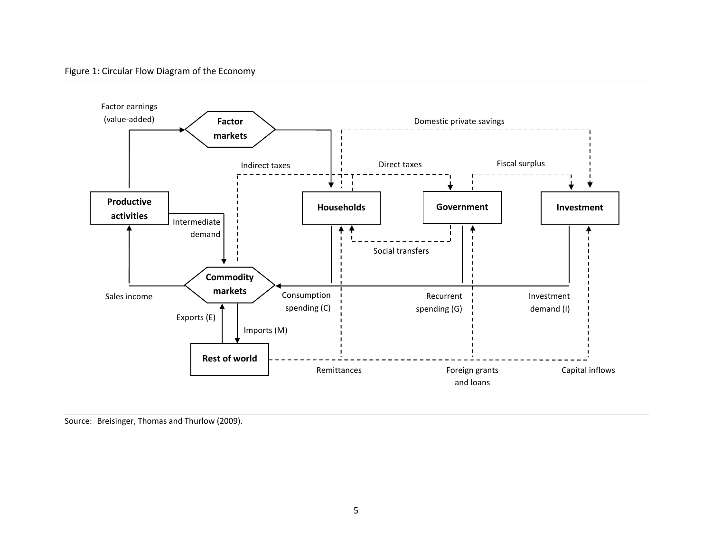

Source: Breisinger, Thomas and Thurlow (2009).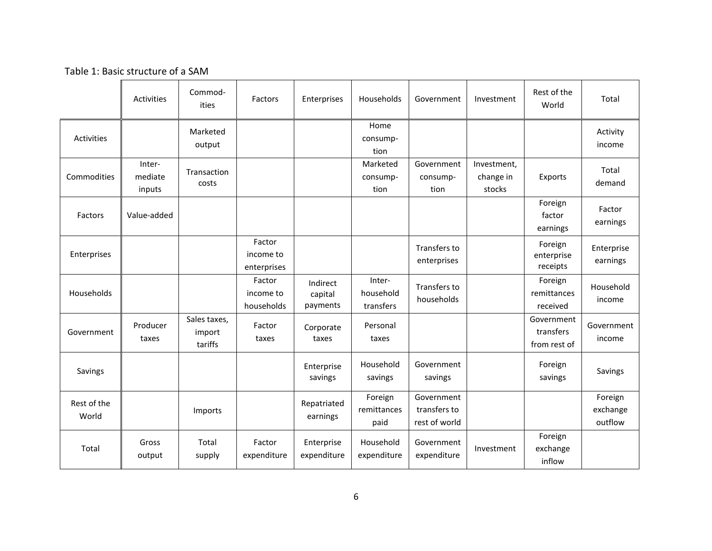Table 1: Basic structure of a SAM

|                      | Activities                  | Commod-<br>ities                  | Factors                            | Enterprises                     | Households                       | Government                                  | Investment                         | Rest of the<br>World                    | Total                          |
|----------------------|-----------------------------|-----------------------------------|------------------------------------|---------------------------------|----------------------------------|---------------------------------------------|------------------------------------|-----------------------------------------|--------------------------------|
| <b>Activities</b>    |                             | Marketed<br>output                |                                    |                                 | Home<br>consump-<br>tion         |                                             |                                    |                                         | Activity<br>income             |
| Commodities          | Inter-<br>mediate<br>inputs | Transaction<br>costs              |                                    |                                 | Marketed<br>consump-<br>tion     | Government<br>consump-<br>tion              | Investment,<br>change in<br>stocks | Exports                                 | Total<br>demand                |
| Factors              | Value-added                 |                                   |                                    |                                 |                                  |                                             |                                    | Foreign<br>factor<br>earnings           | Factor<br>earnings             |
| Enterprises          |                             |                                   | Factor<br>income to<br>enterprises |                                 |                                  | Transfers to<br>enterprises                 |                                    | Foreign<br>enterprise<br>receipts       | Enterprise<br>earnings         |
| Households           |                             |                                   | Factor<br>income to<br>households  | Indirect<br>capital<br>payments | Inter-<br>household<br>transfers | Transfers to<br>households                  |                                    | Foreign<br>remittances<br>received      | Household<br>income            |
| Government           | Producer<br>taxes           | Sales taxes,<br>import<br>tariffs | Factor<br>taxes                    | Corporate<br>taxes              | Personal<br>taxes                |                                             |                                    | Government<br>transfers<br>from rest of | Government<br>income           |
| Savings              |                             |                                   |                                    | Enterprise<br>savings           | Household<br>savings             | Government<br>savings                       |                                    | Foreign<br>savings                      | Savings                        |
| Rest of the<br>World |                             | Imports                           |                                    | Repatriated<br>earnings         | Foreign<br>remittances<br>paid   | Government<br>transfers to<br>rest of world |                                    |                                         | Foreign<br>exchange<br>outflow |
| Total                | Gross<br>output             | Total<br>supply                   | Factor<br>expenditure              | Enterprise<br>expenditure       | Household<br>expenditure         | Government<br>expenditure                   | Investment                         | Foreign<br>exchange<br>inflow           |                                |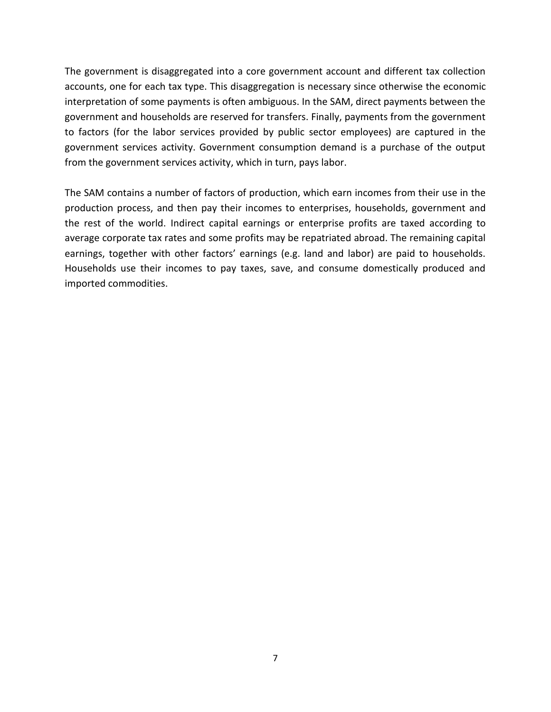The government is disaggregated into a core government account and different tax collection accounts, one for each tax type. This disaggregation is necessary since otherwise the economic interpretation of some payments is often ambiguous. In the SAM, direct payments between the government and households are reserved for transfers. Finally, payments from the government to factors (for the labor services provided by public sector employees) are captured in the government services activity. Government consumption demand is a purchase of the output from the government services activity, which in turn, pays labor.

The SAM contains a number of factors of production, which earn incomes from their use in the production process, and then pay their incomes to enterprises, households, government and the rest of the world. Indirect capital earnings or enterprise profits are taxed according to average corporate tax rates and some profits may be repatriated abroad. The remaining capital earnings, together with other factors' earnings (e.g. land and labor) are paid to households. Households use their incomes to pay taxes, save, and consume domestically produced and imported commodities.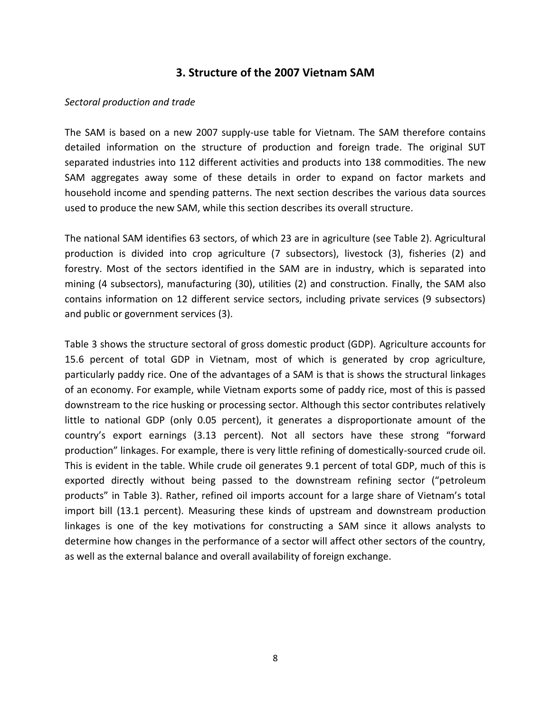### **3. Structure of the 2007 Vietnam SAM**

#### *Sectoral production and trade*

The SAM is based on a new 2007 supply-use table for Vietnam. The SAM therefore contains detailed information on the structure of production and foreign trade. The original SUT separated industries into 112 different activities and products into 138 commodities. The new SAM aggregates away some of these details in order to expand on factor markets and household income and spending patterns. The next section describes the various data sources used to produce the new SAM, while this section describes its overall structure.

The national SAM identifies 63 sectors, of which 23 are in agriculture (see Table 2). Agricultural production is divided into crop agriculture (7 subsectors), livestock (3), fisheries (2) and forestry. Most of the sectors identified in the SAM are in industry, which is separated into mining (4 subsectors), manufacturing (30), utilities (2) and construction. Finally, the SAM also contains information on 12 different service sectors, including private services (9 subsectors) and public or government services (3).

Table 3 shows the structure sectoral of gross domestic product (GDP). Agriculture accounts for 15.6 percent of total GDP in Vietnam, most of which is generated by crop agriculture, particularly paddy rice. One of the advantages of a SAM is that is shows the structural linkages of an economy. For example, while Vietnam exports some of paddy rice, most of this is passed downstream to the rice husking or processing sector. Although this sector contributes relatively little to national GDP (only 0.05 percent), it generates a disproportionate amount of the country's export earnings (3.13 percent). Not all sectors have these strong "forward production" linkages. For example, there is very little refining of domestically-sourced crude oil. This is evident in the table. While crude oil generates 9.1 percent of total GDP, much of this is exported directly without being passed to the downstream refining sector ("petroleum products" in Table 3). Rather, refined oil imports account for a large share of Vietnam's total import bill (13.1 percent). Measuring these kinds of upstream and downstream production linkages is one of the key motivations for constructing a SAM since it allows analysts to determine how changes in the performance of a sector will affect other sectors of the country, as well as the external balance and overall availability of foreign exchange.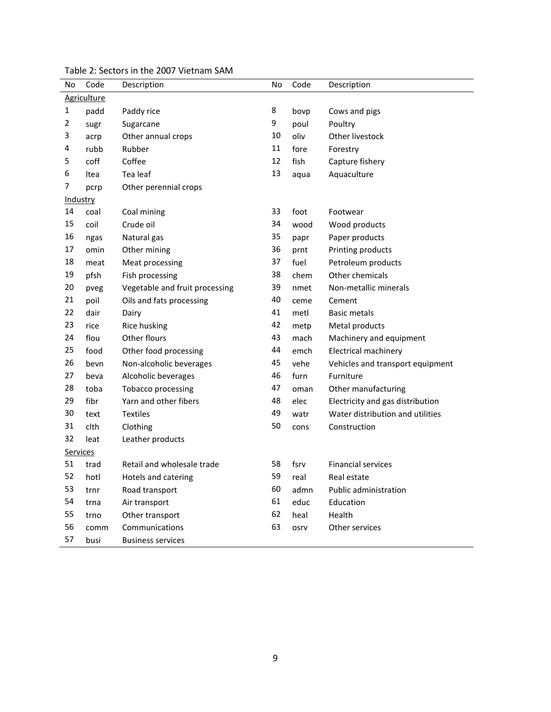| No              | Code               | Description                    | No | Code | Description                      |
|-----------------|--------------------|--------------------------------|----|------|----------------------------------|
|                 | <b>Agriculture</b> |                                |    |      |                                  |
| 1               | padd               | Paddy rice                     | 8  | bovp | Cows and pigs                    |
| 2               | sugr               | Sugarcane                      | 9  | poul | Poultry                          |
| 3               | acrp               | Other annual crops             | 10 | oliv | Other livestock                  |
| 4               | rubb               | Rubber                         | 11 | fore | Forestry                         |
| 5               | coff               | Coffee                         | 12 | fish | Capture fishery                  |
| 6               | Itea               | Tea leaf                       | 13 | aqua | Aquaculture                      |
| 7               | pcrp               | Other perennial crops          |    |      |                                  |
| <b>Industry</b> |                    |                                |    |      |                                  |
| 14              | coal               | Coal mining                    | 33 | foot | Footwear                         |
| 15              | coil               | Crude oil                      | 34 | wood | Wood products                    |
| 16              | ngas               | Natural gas                    | 35 | papr | Paper products                   |
| 17              | omin               | Other mining                   | 36 | prnt | Printing products                |
| 18              | meat               | Meat processing                | 37 | fuel | Petroleum products               |
| 19              | pfsh               | Fish processing                | 38 | chem | Other chemicals                  |
| 20              | pveg               | Vegetable and fruit processing | 39 | nmet | Non-metallic minerals            |
| 21              | poil               | Oils and fats processing       | 40 | ceme | Cement                           |
| 22              | dair               | Dairy                          | 41 | metl | <b>Basic metals</b>              |
| 23              | rice               | Rice husking                   | 42 | metp | Metal products                   |
| 24              | flou               | Other flours                   | 43 | mach | Machinery and equipment          |
| 25              | food               | Other food processing          | 44 | emch | Electrical machinery             |
| 26              | bevn               | Non-alcoholic beverages        | 45 | vehe | Vehicles and transport equipment |
| 27              | beva               | Alcoholic beverages            | 46 | furn | Furniture                        |
| 28              | toba               | Tobacco processing             | 47 | oman | Other manufacturing              |
| 29              | fibr               | Yarn and other fibers          | 48 | elec | Electricity and gas distribution |
| 30              | text               | <b>Textiles</b>                | 49 | watr | Water distribution and utilities |
| 31              | clth               | Clothing                       | 50 | cons | Construction                     |
| 32              | leat               | Leather products               |    |      |                                  |
| <b>Services</b> |                    |                                |    |      |                                  |
| 51              | trad               | Retail and wholesale trade     | 58 | fsrv | <b>Financial services</b>        |
| 52              | hotl               | Hotels and catering            | 59 | real | Real estate                      |
| 53              | trnr               | Road transport                 | 60 | admn | Public administration            |
| 54              | trna               | Air transport                  | 61 | educ | Education                        |
| 55              | trno               | Other transport                | 62 | heal | Health                           |
| 56              | comm               | Communications                 | 63 | osrv | Other services                   |
| 57              | busi               | <b>Business services</b>       |    |      |                                  |

#### Table 2: Sectors in the 2007 Vietnam SAM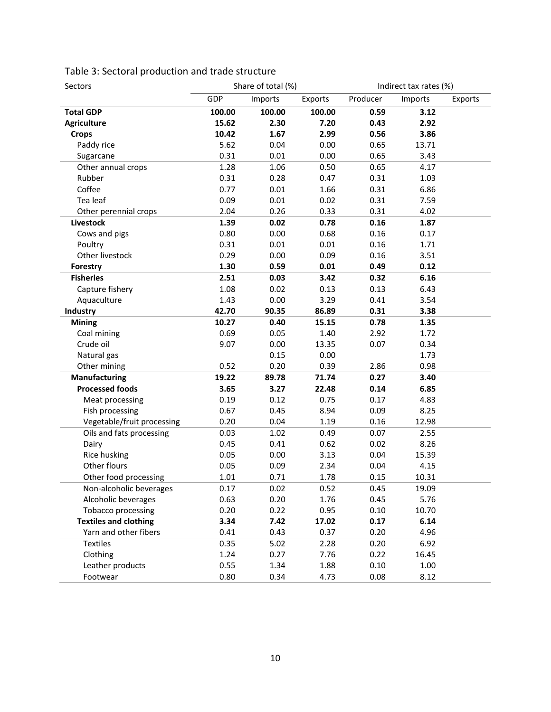| Sectors                      | Share of total (%) |         |         | Indirect tax rates (%) |         |         |
|------------------------------|--------------------|---------|---------|------------------------|---------|---------|
|                              | GDP                | Imports | Exports | Producer               | Imports | Exports |
| <b>Total GDP</b>             | 100.00             | 100.00  | 100.00  | 0.59                   | 3.12    |         |
| <b>Agriculture</b>           | 15.62              | 2.30    | 7.20    | 0.43                   | 2.92    |         |
| <b>Crops</b>                 | 10.42              | 1.67    | 2.99    | 0.56                   | 3.86    |         |
| Paddy rice                   | 5.62               | 0.04    | 0.00    | 0.65                   | 13.71   |         |
| Sugarcane                    | 0.31               | 0.01    | 0.00    | 0.65                   | 3.43    |         |
| Other annual crops           | 1.28               | 1.06    | 0.50    | 0.65                   | 4.17    |         |
| Rubber                       | 0.31               | 0.28    | 0.47    | 0.31                   | 1.03    |         |
| Coffee                       | 0.77               | 0.01    | 1.66    | 0.31                   | 6.86    |         |
| Tea leaf                     | 0.09               | 0.01    | 0.02    | 0.31                   | 7.59    |         |
| Other perennial crops        | 2.04               | 0.26    | 0.33    | 0.31                   | 4.02    |         |
| Livestock                    | 1.39               | 0.02    | 0.78    | 0.16                   | 1.87    |         |
| Cows and pigs                | 0.80               | 0.00    | 0.68    | 0.16                   | 0.17    |         |
| Poultry                      | 0.31               | 0.01    | 0.01    | 0.16                   | 1.71    |         |
| Other livestock              | 0.29               | 0.00    | 0.09    | 0.16                   | 3.51    |         |
| <b>Forestry</b>              | 1.30               | 0.59    | 0.01    | 0.49                   | 0.12    |         |
| <b>Fisheries</b>             | 2.51               | 0.03    | 3.42    | 0.32                   | 6.16    |         |
| Capture fishery              | 1.08               | 0.02    | 0.13    | 0.13                   | 6.43    |         |
| Aquaculture                  | 1.43               | 0.00    | 3.29    | 0.41                   | 3.54    |         |
| Industry                     | 42.70              | 90.35   | 86.89   | 0.31                   | 3.38    |         |
| <b>Mining</b>                | 10.27              | 0.40    | 15.15   | 0.78                   | 1.35    |         |
| Coal mining                  | 0.69               | 0.05    | 1.40    | 2.92                   | 1.72    |         |
| Crude oil                    | 9.07               | 0.00    | 13.35   | 0.07                   | 0.34    |         |
| Natural gas                  |                    | 0.15    | 0.00    |                        | 1.73    |         |
| Other mining                 | 0.52               | 0.20    | 0.39    | 2.86                   | 0.98    |         |
| Manufacturing                | 19.22              | 89.78   | 71.74   | 0.27                   | 3.40    |         |
| <b>Processed foods</b>       | 3.65               | 3.27    | 22.48   | 0.14                   | 6.85    |         |
| Meat processing              | 0.19               | 0.12    | 0.75    | 0.17                   | 4.83    |         |
| Fish processing              | 0.67               | 0.45    | 8.94    | 0.09                   | 8.25    |         |
| Vegetable/fruit processing   | 0.20               | 0.04    | 1.19    | 0.16                   | 12.98   |         |
| Oils and fats processing     | 0.03               | 1.02    | 0.49    | 0.07                   | 2.55    |         |
| Dairy                        | 0.45               | 0.41    | 0.62    | 0.02                   | 8.26    |         |
| Rice husking                 | 0.05               | 0.00    | 3.13    | 0.04                   | 15.39   |         |
| Other flours                 | 0.05               | 0.09    | 2.34    | 0.04                   | 4.15    |         |
| Other food processing        | 1.01               | 0.71    | 1.78    | 0.15                   | 10.31   |         |
| Non-alcoholic beverages      | 0.17               | 0.02    | 0.52    | 0.45                   | 19.09   |         |
| Alcoholic beverages          | 0.63               | 0.20    | 1.76    | 0.45                   | 5.76    |         |
| Tobacco processing           | 0.20               | 0.22    | 0.95    | 0.10                   | 10.70   |         |
| <b>Textiles and clothing</b> | 3.34               | 7.42    | 17.02   | 0.17                   | 6.14    |         |
| Yarn and other fibers        | 0.41               | 0.43    | 0.37    | 0.20                   | 4.96    |         |
| <b>Textiles</b>              | 0.35               | 5.02    | 2.28    | 0.20                   | 6.92    |         |
| Clothing                     | 1.24               | 0.27    | 7.76    | 0.22                   | 16.45   |         |
| Leather products             | 0.55               | 1.34    | 1.88    | 0.10                   | 1.00    |         |
| Footwear                     | 0.80               | 0.34    | 4.73    | 0.08                   | 8.12    |         |

# Table 3: Sectoral production and trade structure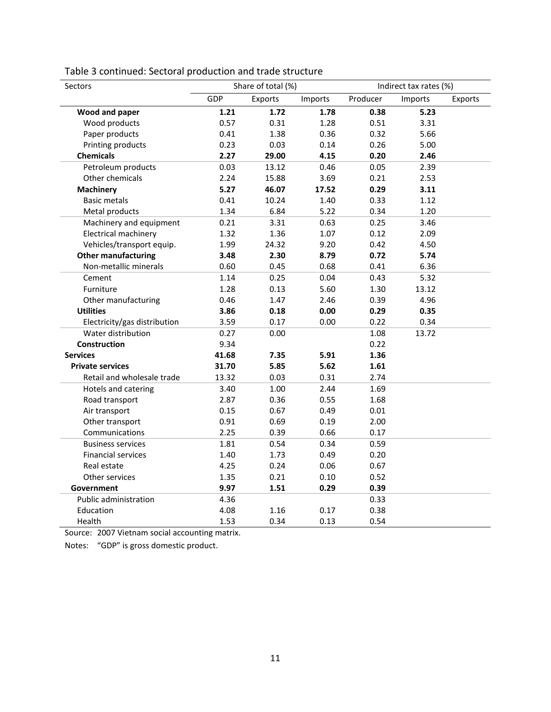| <b>Sectors</b>               |       | Share of total (%) |         |          | Indirect tax rates (%) |         |
|------------------------------|-------|--------------------|---------|----------|------------------------|---------|
|                              | GDP   | Exports            | Imports | Producer | Imports                | Exports |
| Wood and paper               | 1.21  | 1.72               | 1.78    | 0.38     | 5.23                   |         |
| Wood products                | 0.57  | 0.31               | 1.28    | 0.51     | 3.31                   |         |
| Paper products               | 0.41  | 1.38               | 0.36    | 0.32     | 5.66                   |         |
| Printing products            | 0.23  | 0.03               | 0.14    | 0.26     | 5.00                   |         |
| <b>Chemicals</b>             | 2.27  | 29.00              | 4.15    | 0.20     | 2.46                   |         |
| Petroleum products           | 0.03  | 13.12              | 0.46    | 0.05     | 2.39                   |         |
| Other chemicals              | 2.24  | 15.88              | 3.69    | 0.21     | 2.53                   |         |
| <b>Machinery</b>             | 5.27  | 46.07              | 17.52   | 0.29     | 3.11                   |         |
| <b>Basic metals</b>          | 0.41  | 10.24              | 1.40    | 0.33     | 1.12                   |         |
| Metal products               | 1.34  | 6.84               | 5.22    | 0.34     | 1.20                   |         |
| Machinery and equipment      | 0.21  | 3.31               | 0.63    | 0.25     | 3.46                   |         |
| <b>Electrical machinery</b>  | 1.32  | 1.36               | 1.07    | 0.12     | 2.09                   |         |
| Vehicles/transport equip.    | 1.99  | 24.32              | 9.20    | 0.42     | 4.50                   |         |
| <b>Other manufacturing</b>   | 3.48  | 2.30               | 8.79    | 0.72     | 5.74                   |         |
| Non-metallic minerals        | 0.60  | 0.45               | 0.68    | 0.41     | 6.36                   |         |
| Cement                       | 1.14  | 0.25               | 0.04    | 0.43     | 5.32                   |         |
| Furniture                    | 1.28  | 0.13               | 5.60    | 1.30     | 13.12                  |         |
| Other manufacturing          | 0.46  | 1.47               | 2.46    | 0.39     | 4.96                   |         |
| <b>Utilities</b>             | 3.86  | 0.18               | 0.00    | 0.29     | 0.35                   |         |
| Electricity/gas distribution | 3.59  | 0.17               | 0.00    | 0.22     | 0.34                   |         |
| Water distribution           | 0.27  | 0.00               |         | 1.08     | 13.72                  |         |
| <b>Construction</b>          | 9.34  |                    |         | 0.22     |                        |         |
| <b>Services</b>              | 41.68 | 7.35               | 5.91    | 1.36     |                        |         |
| <b>Private services</b>      | 31.70 | 5.85               | 5.62    | 1.61     |                        |         |
| Retail and wholesale trade   | 13.32 | 0.03               | 0.31    | 2.74     |                        |         |
| Hotels and catering          | 3.40  | 1.00               | 2.44    | 1.69     |                        |         |
| Road transport               | 2.87  | 0.36               | 0.55    | 1.68     |                        |         |
| Air transport                | 0.15  | 0.67               | 0.49    | 0.01     |                        |         |
| Other transport              | 0.91  | 0.69               | 0.19    | 2.00     |                        |         |
| Communications               | 2.25  | 0.39               | 0.66    | 0.17     |                        |         |
| <b>Business services</b>     | 1.81  | 0.54               | 0.34    | 0.59     |                        |         |
| <b>Financial services</b>    | 1.40  | 1.73               | 0.49    | 0.20     |                        |         |
| Real estate                  | 4.25  | 0.24               | 0.06    | 0.67     |                        |         |
| Other services               | 1.35  | 0.21               | 0.10    | 0.52     |                        |         |
| Government                   | 9.97  | 1.51               | 0.29    | 0.39     |                        |         |
| Public administration        | 4.36  |                    |         | 0.33     |                        |         |
| Education                    | 4.08  | 1.16               | 0.17    | 0.38     |                        |         |
| Health                       | 1.53  | 0.34               | 0.13    | 0.54     |                        |         |

Table 3 continued: Sectoral production and trade structure

Source: 2007 Vietnam social accounting matrix.

Notes: "GDP" is gross domestic product.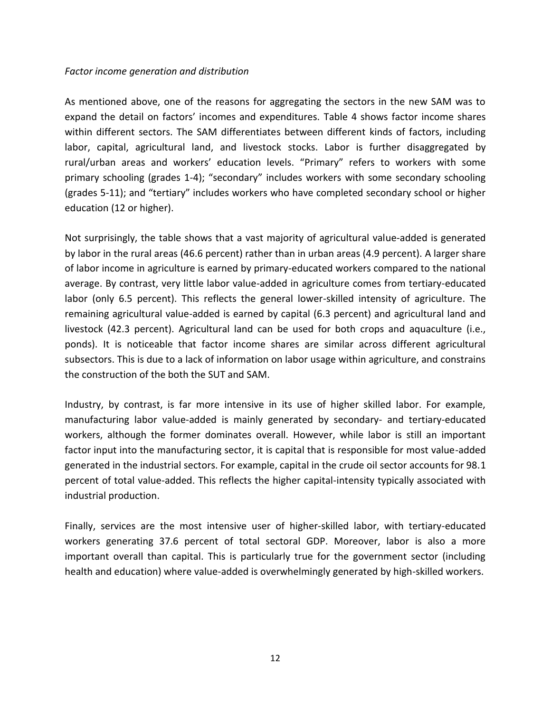#### *Factor income generation and distribution*

As mentioned above, one of the reasons for aggregating the sectors in the new SAM was to expand the detail on factors' incomes and expenditures. Table 4 shows factor income shares within different sectors. The SAM differentiates between different kinds of factors, including labor, capital, agricultural land, and livestock stocks. Labor is further disaggregated by rural/urban areas and workers' education levels. "Primary" refers to workers with some primary schooling (grades 1-4); "secondary" includes workers with some secondary schooling (grades 5-11); and "tertiary" includes workers who have completed secondary school or higher education (12 or higher).

Not surprisingly, the table shows that a vast majority of agricultural value-added is generated by labor in the rural areas (46.6 percent) rather than in urban areas (4.9 percent). A larger share of labor income in agriculture is earned by primary-educated workers compared to the national average. By contrast, very little labor value-added in agriculture comes from tertiary-educated labor (only 6.5 percent). This reflects the general lower-skilled intensity of agriculture. The remaining agricultural value-added is earned by capital (6.3 percent) and agricultural land and livestock (42.3 percent). Agricultural land can be used for both crops and aquaculture (i.e., ponds). It is noticeable that factor income shares are similar across different agricultural subsectors. This is due to a lack of information on labor usage within agriculture, and constrains the construction of the both the SUT and SAM.

Industry, by contrast, is far more intensive in its use of higher skilled labor. For example, manufacturing labor value-added is mainly generated by secondary- and tertiary-educated workers, although the former dominates overall. However, while labor is still an important factor input into the manufacturing sector, it is capital that is responsible for most value-added generated in the industrial sectors. For example, capital in the crude oil sector accounts for 98.1 percent of total value-added. This reflects the higher capital-intensity typically associated with industrial production.

Finally, services are the most intensive user of higher-skilled labor, with tertiary-educated workers generating 37.6 percent of total sectoral GDP. Moreover, labor is also a more important overall than capital. This is particularly true for the government sector (including health and education) where value-added is overwhelmingly generated by high-skilled workers.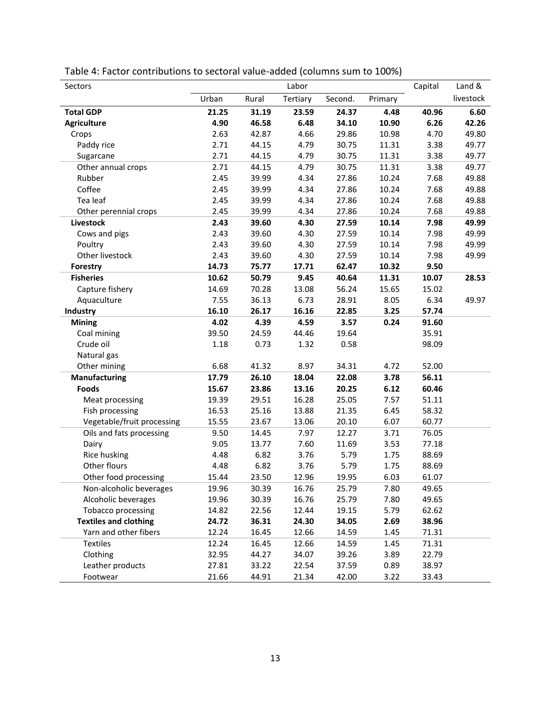| Sectors                      |       |       | Labor    |         |         | Capital | Land &    |
|------------------------------|-------|-------|----------|---------|---------|---------|-----------|
|                              | Urban | Rural | Tertiary | Second. | Primary |         | livestock |
| <b>Total GDP</b>             | 21.25 | 31.19 | 23.59    | 24.37   | 4.48    | 40.96   | 6.60      |
| <b>Agriculture</b>           | 4.90  | 46.58 | 6.48     | 34.10   | 10.90   | 6.26    | 42.26     |
| Crops                        | 2.63  | 42.87 | 4.66     | 29.86   | 10.98   | 4.70    | 49.80     |
| Paddy rice                   | 2.71  | 44.15 | 4.79     | 30.75   | 11.31   | 3.38    | 49.77     |
| Sugarcane                    | 2.71  | 44.15 | 4.79     | 30.75   | 11.31   | 3.38    | 49.77     |
| Other annual crops           | 2.71  | 44.15 | 4.79     | 30.75   | 11.31   | 3.38    | 49.77     |
| Rubber                       | 2.45  | 39.99 | 4.34     | 27.86   | 10.24   | 7.68    | 49.88     |
| Coffee                       | 2.45  | 39.99 | 4.34     | 27.86   | 10.24   | 7.68    | 49.88     |
| Tea leaf                     | 2.45  | 39.99 | 4.34     | 27.86   | 10.24   | 7.68    | 49.88     |
| Other perennial crops        | 2.45  | 39.99 | 4.34     | 27.86   | 10.24   | 7.68    | 49.88     |
| Livestock                    | 2.43  | 39.60 | 4.30     | 27.59   | 10.14   | 7.98    | 49.99     |
| Cows and pigs                | 2.43  | 39.60 | 4.30     | 27.59   | 10.14   | 7.98    | 49.99     |
| Poultry                      | 2.43  | 39.60 | 4.30     | 27.59   | 10.14   | 7.98    | 49.99     |
| Other livestock              | 2.43  | 39.60 | 4.30     | 27.59   | 10.14   | 7.98    | 49.99     |
| Forestry                     | 14.73 | 75.77 | 17.71    | 62.47   | 10.32   | 9.50    |           |
| <b>Fisheries</b>             | 10.62 | 50.79 | 9.45     | 40.64   | 11.31   | 10.07   | 28.53     |
| Capture fishery              | 14.69 | 70.28 | 13.08    | 56.24   | 15.65   | 15.02   |           |
| Aquaculture                  | 7.55  | 36.13 | 6.73     | 28.91   | 8.05    | 6.34    | 49.97     |
| Industry                     | 16.10 | 26.17 | 16.16    | 22.85   | 3.25    | 57.74   |           |
| <b>Mining</b>                | 4.02  | 4.39  | 4.59     | 3.57    | 0.24    | 91.60   |           |
| Coal mining                  | 39.50 | 24.59 | 44.46    | 19.64   |         | 35.91   |           |
| Crude oil                    | 1.18  | 0.73  | 1.32     | 0.58    |         | 98.09   |           |
| Natural gas                  |       |       |          |         |         |         |           |
| Other mining                 | 6.68  | 41.32 | 8.97     | 34.31   | 4.72    | 52.00   |           |
| <b>Manufacturing</b>         | 17.79 | 26.10 | 18.04    | 22.08   | 3.78    | 56.11   |           |
| Foods                        | 15.67 | 23.86 | 13.16    | 20.25   | 6.12    | 60.46   |           |
| Meat processing              | 19.39 | 29.51 | 16.28    | 25.05   | 7.57    | 51.11   |           |
| Fish processing              | 16.53 | 25.16 | 13.88    | 21.35   | 6.45    | 58.32   |           |
| Vegetable/fruit processing   | 15.55 | 23.67 | 13.06    | 20.10   | 6.07    | 60.77   |           |
| Oils and fats processing     | 9.50  | 14.45 | 7.97     | 12.27   | 3.71    | 76.05   |           |
| Dairy                        | 9.05  | 13.77 | 7.60     | 11.69   | 3.53    | 77.18   |           |
| Rice husking                 | 4.48  | 6.82  | 3.76     | 5.79    | 1.75    | 88.69   |           |
| Other flours                 | 4.48  | 6.82  | 3.76     | 5.79    | 1.75    | 88.69   |           |
| Other food processing        | 15.44 | 23.50 | 12.96    | 19.95   | 6.03    | 61.07   |           |
| Non-alcoholic beverages      | 19.96 | 30.39 | 16.76    | 25.79   | 7.80    | 49.65   |           |
| Alcoholic beverages          | 19.96 | 30.39 | 16.76    | 25.79   | 7.80    | 49.65   |           |
| <b>Tobacco processing</b>    | 14.82 | 22.56 | 12.44    | 19.15   | 5.79    | 62.62   |           |
| <b>Textiles and clothing</b> | 24.72 | 36.31 | 24.30    | 34.05   | 2.69    | 38.96   |           |
| Yarn and other fibers        | 12.24 | 16.45 | 12.66    | 14.59   | 1.45    | 71.31   |           |
| <b>Textiles</b>              | 12.24 | 16.45 | 12.66    | 14.59   | 1.45    | 71.31   |           |
| Clothing                     | 32.95 | 44.27 | 34.07    | 39.26   | 3.89    | 22.79   |           |
| Leather products             | 27.81 | 33.22 | 22.54    | 37.59   | 0.89    | 38.97   |           |
| Footwear                     | 21.66 | 44.91 | 21.34    | 42.00   | 3.22    | 33.43   |           |

Table 4: Factor contributions to sectoral value-added (columns sum to 100%)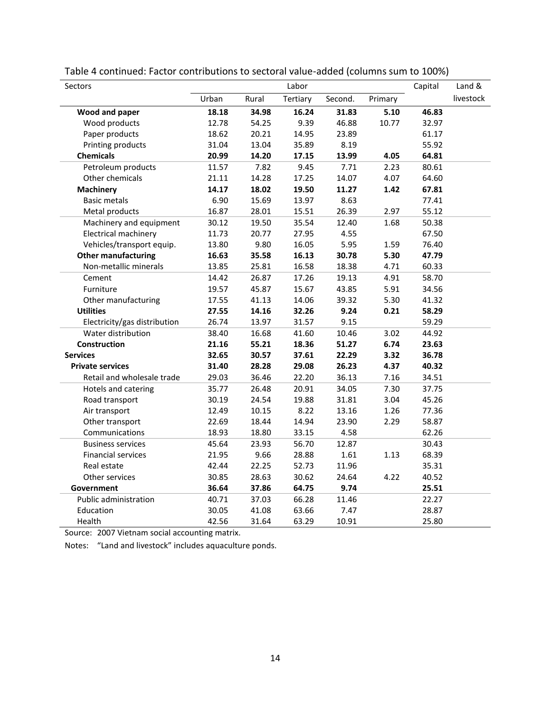| Sectors                      |       |       | Labor    |         |         | Capital | Land &    |
|------------------------------|-------|-------|----------|---------|---------|---------|-----------|
|                              | Urban | Rural | Tertiary | Second. | Primary |         | livestock |
| Wood and paper               | 18.18 | 34.98 | 16.24    | 31.83   | 5.10    | 46.83   |           |
| Wood products                | 12.78 | 54.25 | 9.39     | 46.88   | 10.77   | 32.97   |           |
| Paper products               | 18.62 | 20.21 | 14.95    | 23.89   |         | 61.17   |           |
| Printing products            | 31.04 | 13.04 | 35.89    | 8.19    |         | 55.92   |           |
| <b>Chemicals</b>             | 20.99 | 14.20 | 17.15    | 13.99   | 4.05    | 64.81   |           |
| Petroleum products           | 11.57 | 7.82  | 9.45     | 7.71    | 2.23    | 80.61   |           |
| Other chemicals              | 21.11 | 14.28 | 17.25    | 14.07   | 4.07    | 64.60   |           |
| <b>Machinery</b>             | 14.17 | 18.02 | 19.50    | 11.27   | 1.42    | 67.81   |           |
| <b>Basic metals</b>          | 6.90  | 15.69 | 13.97    | 8.63    |         | 77.41   |           |
| Metal products               | 16.87 | 28.01 | 15.51    | 26.39   | 2.97    | 55.12   |           |
| Machinery and equipment      | 30.12 | 19.50 | 35.54    | 12.40   | 1.68    | 50.38   |           |
| <b>Electrical machinery</b>  | 11.73 | 20.77 | 27.95    | 4.55    |         | 67.50   |           |
| Vehicles/transport equip.    | 13.80 | 9.80  | 16.05    | 5.95    | 1.59    | 76.40   |           |
| <b>Other manufacturing</b>   | 16.63 | 35.58 | 16.13    | 30.78   | 5.30    | 47.79   |           |
| Non-metallic minerals        | 13.85 | 25.81 | 16.58    | 18.38   | 4.71    | 60.33   |           |
| Cement                       | 14.42 | 26.87 | 17.26    | 19.13   | 4.91    | 58.70   |           |
| Furniture                    | 19.57 | 45.87 | 15.67    | 43.85   | 5.91    | 34.56   |           |
| Other manufacturing          | 17.55 | 41.13 | 14.06    | 39.32   | 5.30    | 41.32   |           |
| <b>Utilities</b>             | 27.55 | 14.16 | 32.26    | 9.24    | 0.21    | 58.29   |           |
| Electricity/gas distribution | 26.74 | 13.97 | 31.57    | 9.15    |         | 59.29   |           |
| Water distribution           | 38.40 | 16.68 | 41.60    | 10.46   | 3.02    | 44.92   |           |
| <b>Construction</b>          | 21.16 | 55.21 | 18.36    | 51.27   | 6.74    | 23.63   |           |
| <b>Services</b>              | 32.65 | 30.57 | 37.61    | 22.29   | 3.32    | 36.78   |           |
| <b>Private services</b>      | 31.40 | 28.28 | 29.08    | 26.23   | 4.37    | 40.32   |           |
| Retail and wholesale trade   | 29.03 | 36.46 | 22.20    | 36.13   | 7.16    | 34.51   |           |
| Hotels and catering          | 35.77 | 26.48 | 20.91    | 34.05   | 7.30    | 37.75   |           |
| Road transport               | 30.19 | 24.54 | 19.88    | 31.81   | 3.04    | 45.26   |           |
| Air transport                | 12.49 | 10.15 | 8.22     | 13.16   | 1.26    | 77.36   |           |
| Other transport              | 22.69 | 18.44 | 14.94    | 23.90   | 2.29    | 58.87   |           |
| Communications               | 18.93 | 18.80 | 33.15    | 4.58    |         | 62.26   |           |
| <b>Business services</b>     | 45.64 | 23.93 | 56.70    | 12.87   |         | 30.43   |           |
| <b>Financial services</b>    | 21.95 | 9.66  | 28.88    | 1.61    | 1.13    | 68.39   |           |
| Real estate                  | 42.44 | 22.25 | 52.73    | 11.96   |         | 35.31   |           |
| Other services               | 30.85 | 28.63 | 30.62    | 24.64   | 4.22    | 40.52   |           |
| Government                   | 36.64 | 37.86 | 64.75    | 9.74    |         | 25.51   |           |
| Public administration        | 40.71 | 37.03 | 66.28    | 11.46   |         | 22.27   |           |
| Education                    | 30.05 | 41.08 | 63.66    | 7.47    |         | 28.87   |           |
| Health                       | 42.56 | 31.64 | 63.29    | 10.91   |         | 25.80   |           |

Table 4 continued: Factor contributions to sectoral value-added (columns sum to 100%)

Source: 2007 Vietnam social accounting matrix.

Notes: "Land and livestock" includes aquaculture ponds.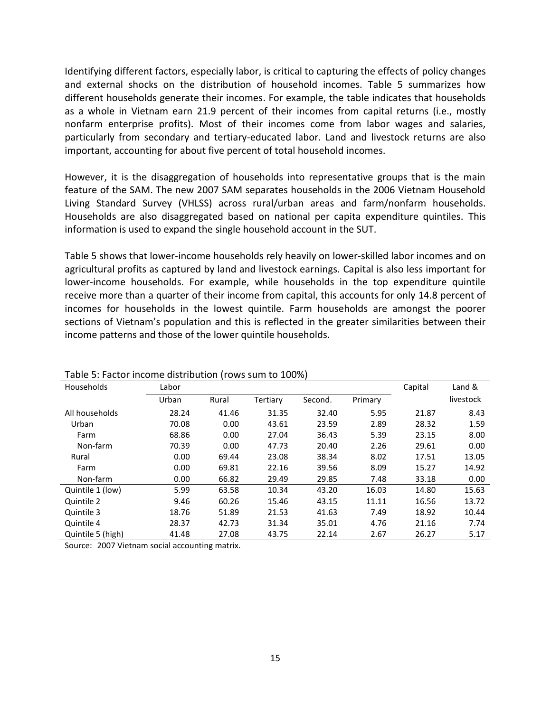Identifying different factors, especially labor, is critical to capturing the effects of policy changes and external shocks on the distribution of household incomes. Table 5 summarizes how different households generate their incomes. For example, the table indicates that households as a whole in Vietnam earn 21.9 percent of their incomes from capital returns (i.e., mostly nonfarm enterprise profits). Most of their incomes come from labor wages and salaries, particularly from secondary and tertiary-educated labor. Land and livestock returns are also important, accounting for about five percent of total household incomes.

However, it is the disaggregation of households into representative groups that is the main feature of the SAM. The new 2007 SAM separates households in the 2006 Vietnam Household Living Standard Survey (VHLSS) across rural/urban areas and farm/nonfarm households. Households are also disaggregated based on national per capita expenditure quintiles. This information is used to expand the single household account in the SUT.

Table 5 shows that lower-income households rely heavily on lower-skilled labor incomes and on agricultural profits as captured by land and livestock earnings. Capital is also less important for lower-income households. For example, while households in the top expenditure quintile receive more than a quarter of their income from capital, this accounts for only 14.8 percent of incomes for households in the lowest quintile. Farm households are amongst the poorer sections of Vietnam's population and this is reflected in the greater similarities between their income patterns and those of the lower quintile households.

| rabic 5. Lactor income distribution (TOWS SunTto 10070)<br>Households | Labor |       |          |         |         | Capital | Land &    |
|-----------------------------------------------------------------------|-------|-------|----------|---------|---------|---------|-----------|
|                                                                       |       |       |          |         |         |         |           |
|                                                                       | Urban | Rural | Tertiary | Second. | Primary |         | livestock |
| All households                                                        | 28.24 | 41.46 | 31.35    | 32.40   | 5.95    | 21.87   | 8.43      |
| Urban                                                                 | 70.08 | 0.00  | 43.61    | 23.59   | 2.89    | 28.32   | 1.59      |
| Farm                                                                  | 68.86 | 0.00  | 27.04    | 36.43   | 5.39    | 23.15   | 8.00      |
| Non-farm                                                              | 70.39 | 0.00  | 47.73    | 20.40   | 2.26    | 29.61   | 0.00      |
| Rural                                                                 | 0.00  | 69.44 | 23.08    | 38.34   | 8.02    | 17.51   | 13.05     |
| Farm                                                                  | 0.00  | 69.81 | 22.16    | 39.56   | 8.09    | 15.27   | 14.92     |
| Non-farm                                                              | 0.00  | 66.82 | 29.49    | 29.85   | 7.48    | 33.18   | 0.00      |
| Quintile 1 (low)                                                      | 5.99  | 63.58 | 10.34    | 43.20   | 16.03   | 14.80   | 15.63     |
| Quintile 2                                                            | 9.46  | 60.26 | 15.46    | 43.15   | 11.11   | 16.56   | 13.72     |
| Quintile 3                                                            | 18.76 | 51.89 | 21.53    | 41.63   | 7.49    | 18.92   | 10.44     |
| Quintile 4                                                            | 28.37 | 42.73 | 31.34    | 35.01   | 4.76    | 21.16   | 7.74      |
| Quintile 5 (high)                                                     | 41.48 | 27.08 | 43.75    | 22.14   | 2.67    | 26.27   | 5.17      |

#### Table 5: Factor income distribution (rows sum to 100%)

Source: 2007 Vietnam social accounting matrix.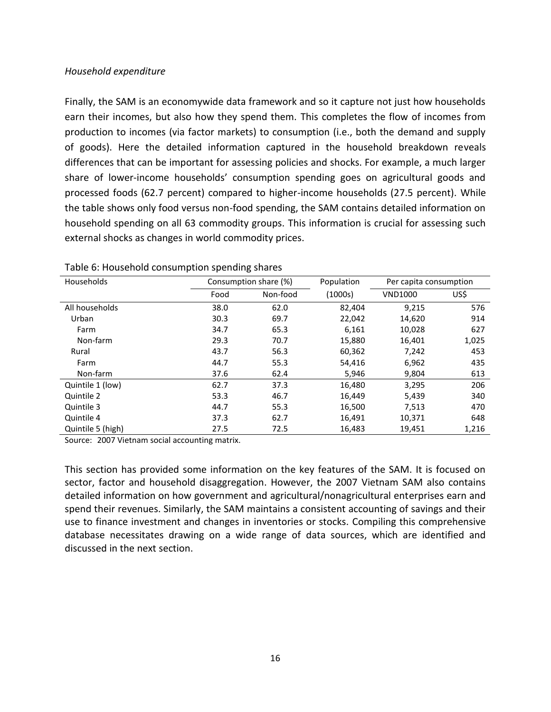#### *Household expenditure*

Finally, the SAM is an economywide data framework and so it capture not just how households earn their incomes, but also how they spend them. This completes the flow of incomes from production to incomes (via factor markets) to consumption (i.e., both the demand and supply of goods). Here the detailed information captured in the household breakdown reveals differences that can be important for assessing policies and shocks. For example, a much larger share of lower-income households' consumption spending goes on agricultural goods and processed foods (62.7 percent) compared to higher-income households (27.5 percent). While the table shows only food versus non-food spending, the SAM contains detailed information on household spending on all 63 commodity groups. This information is crucial for assessing such external shocks as changes in world commodity prices.

| <b>Households</b> |      | Consumption share (%) |         | Per capita consumption |       |
|-------------------|------|-----------------------|---------|------------------------|-------|
|                   | Food | Non-food              | (1000s) | <b>VND1000</b>         | US\$  |
| All households    | 38.0 | 62.0                  | 82,404  | 9,215                  | 576   |
| Urban             | 30.3 | 69.7                  | 22,042  | 14,620                 | 914   |
| Farm              | 34.7 | 65.3                  | 6,161   | 10,028                 | 627   |
| Non-farm          | 29.3 | 70.7                  | 15,880  | 16,401                 | 1,025 |
| Rural             | 43.7 | 56.3                  | 60,362  | 7,242                  | 453   |
| Farm              | 44.7 | 55.3                  | 54,416  | 6,962                  | 435   |
| Non-farm          | 37.6 | 62.4                  | 5,946   | 9,804                  | 613   |
| Quintile 1 (low)  | 62.7 | 37.3                  | 16,480  | 3.295                  | 206   |
| Quintile 2        | 53.3 | 46.7                  | 16,449  | 5,439                  | 340   |
| Quintile 3        | 44.7 | 55.3                  | 16,500  | 7,513                  | 470   |
| Quintile 4        | 37.3 | 62.7                  | 16,491  | 10,371                 | 648   |
| Quintile 5 (high) | 27.5 | 72.5                  | 16,483  | 19,451                 | 1,216 |

Table 6: Household consumption spending shares

Source: 2007 Vietnam social accounting matrix.

This section has provided some information on the key features of the SAM. It is focused on sector, factor and household disaggregation. However, the 2007 Vietnam SAM also contains detailed information on how government and agricultural/nonagricultural enterprises earn and spend their revenues. Similarly, the SAM maintains a consistent accounting of savings and their use to finance investment and changes in inventories or stocks. Compiling this comprehensive database necessitates drawing on a wide range of data sources, which are identified and discussed in the next section.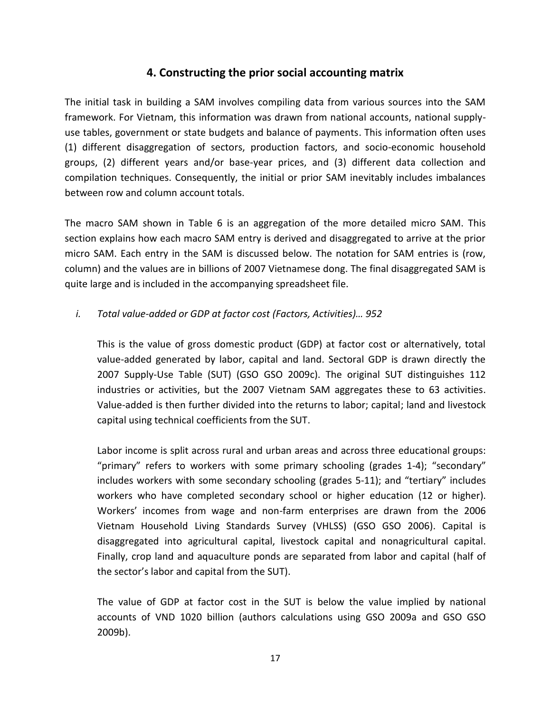# **4. Constructing the prior social accounting matrix**

The initial task in building a SAM involves compiling data from various sources into the SAM framework. For Vietnam, this information was drawn from national accounts, national supplyuse tables, government or state budgets and balance of payments. This information often uses (1) different disaggregation of sectors, production factors, and socio-economic household groups, (2) different years and/or base-year prices, and (3) different data collection and compilation techniques. Consequently, the initial or prior SAM inevitably includes imbalances between row and column account totals.

The macro SAM shown in Table 6 is an aggregation of the more detailed micro SAM. This section explains how each macro SAM entry is derived and disaggregated to arrive at the prior micro SAM. Each entry in the SAM is discussed below. The notation for SAM entries is (row, column) and the values are in billions of 2007 Vietnamese dong. The final disaggregated SAM is quite large and is included in the accompanying spreadsheet file.

#### *i. Total value-added or GDP at factor cost (Factors, Activities)… 952*

This is the value of gross domestic product (GDP) at factor cost or alternatively, total value-added generated by labor, capital and land. Sectoral GDP is drawn directly the 2007 Supply-Use Table (SUT) (GSO GSO 2009c). The original SUT distinguishes 112 industries or activities, but the 2007 Vietnam SAM aggregates these to 63 activities. Value-added is then further divided into the returns to labor; capital; land and livestock capital using technical coefficients from the SUT.

Labor income is split across rural and urban areas and across three educational groups: "primary" refers to workers with some primary schooling (grades 1-4); "secondary" includes workers with some secondary schooling (grades 5-11); and "tertiary" includes workers who have completed secondary school or higher education (12 or higher). Workers' incomes from wage and non-farm enterprises are drawn from the 2006 Vietnam Household Living Standards Survey (VHLSS) (GSO GSO 2006). Capital is disaggregated into agricultural capital, livestock capital and nonagricultural capital. Finally, crop land and aquaculture ponds are separated from labor and capital (half of the sector's labor and capital from the SUT).

The value of GDP at factor cost in the SUT is below the value implied by national accounts of VND 1020 billion (authors calculations using GSO 2009a and GSO GSO 2009b).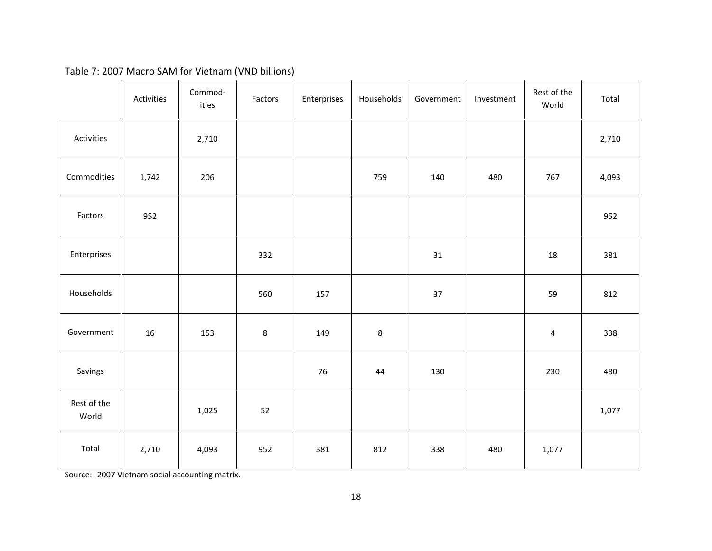Table 7: 2007 Macro SAM for Vietnam (VND billions)

|                      | Activities | Commod-<br>ities | Factors | Enterprises | Households       | Government | Investment | Rest of the<br>World | Total |
|----------------------|------------|------------------|---------|-------------|------------------|------------|------------|----------------------|-------|
| Activities           |            | 2,710            |         |             |                  |            |            |                      | 2,710 |
| Commodities          | 1,742      | 206              |         |             | 759              | 140        | 480        | 767                  | 4,093 |
| Factors              | 952        |                  |         |             |                  |            |            |                      | 952   |
| Enterprises          |            |                  | 332     |             |                  | 31         |            | 18                   | 381   |
| Households           |            |                  | 560     | 157         |                  | 37         |            | 59                   | 812   |
| Government           | 16         | 153              | $\,8\,$ | 149         | $\boldsymbol{8}$ |            |            | $\sqrt{4}$           | 338   |
| Savings              |            |                  |         | 76          | 44               | 130        |            | 230                  | 480   |
| Rest of the<br>World |            | 1,025            | 52      |             |                  |            |            |                      | 1,077 |
| Total                | 2,710      | 4,093            | 952     | 381         | 812              | 338        | 480        | 1,077                |       |

Source: 2007 Vietnam social accounting matrix.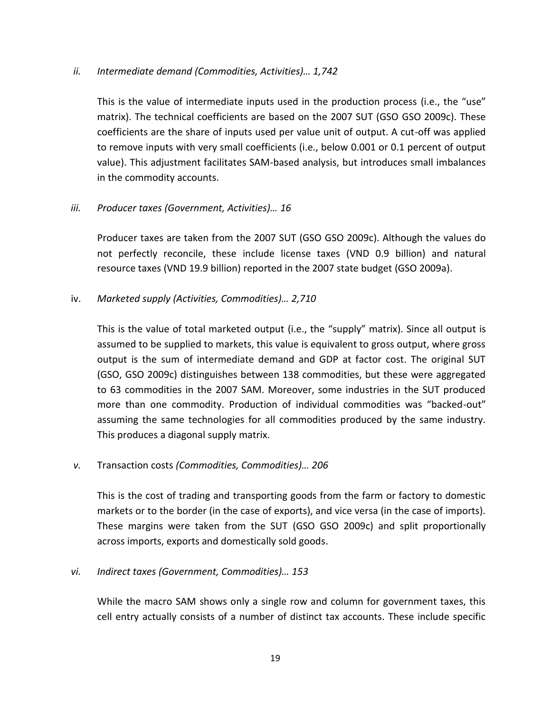#### *ii. Intermediate demand (Commodities, Activities)… 1,742*

This is the value of intermediate inputs used in the production process (i.e., the "use" matrix). The technical coefficients are based on the 2007 SUT (GSO GSO 2009c). These coefficients are the share of inputs used per value unit of output. A cut-off was applied to remove inputs with very small coefficients (i.e., below 0.001 or 0.1 percent of output value). This adjustment facilitates SAM-based analysis, but introduces small imbalances in the commodity accounts.

#### *iii. Producer taxes (Government, Activities)… 16*

Producer taxes are taken from the 2007 SUT (GSO GSO 2009c). Although the values do not perfectly reconcile, these include license taxes (VND 0.9 billion) and natural resource taxes (VND 19.9 billion) reported in the 2007 state budget (GSO 2009a).

#### iv. *Marketed supply (Activities, Commodities)… 2,710*

This is the value of total marketed output (i.e., the "supply" matrix). Since all output is assumed to be supplied to markets, this value is equivalent to gross output, where gross output is the sum of intermediate demand and GDP at factor cost. The original SUT (GSO, GSO 2009c) distinguishes between 138 commodities, but these were aggregated to 63 commodities in the 2007 SAM. Moreover, some industries in the SUT produced more than one commodity. Production of individual commodities was "backed-out" assuming the same technologies for all commodities produced by the same industry. This produces a diagonal supply matrix.

#### *v.* Transaction costs *(Commodities, Commodities)… 206*

This is the cost of trading and transporting goods from the farm or factory to domestic markets or to the border (in the case of exports), and vice versa (in the case of imports). These margins were taken from the SUT (GSO GSO 2009c) and split proportionally across imports, exports and domestically sold goods.

#### *vi. Indirect taxes (Government, Commodities)… 153*

While the macro SAM shows only a single row and column for government taxes, this cell entry actually consists of a number of distinct tax accounts. These include specific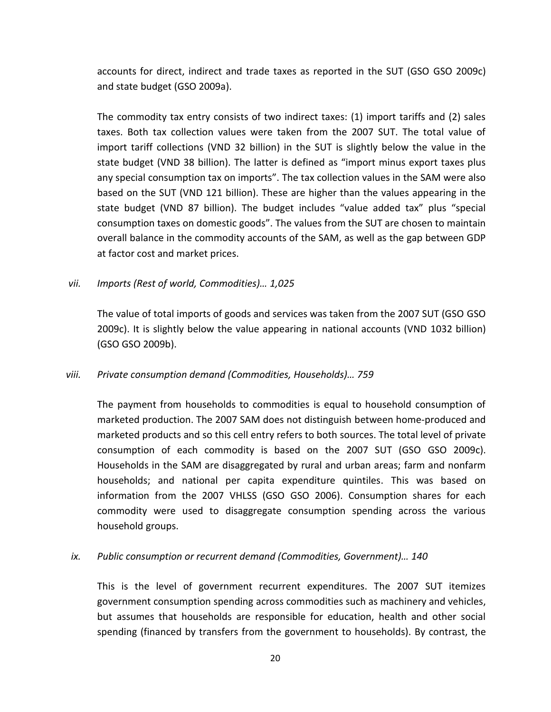accounts for direct, indirect and trade taxes as reported in the SUT (GSO GSO 2009c) and state budget (GSO 2009a).

The commodity tax entry consists of two indirect taxes: (1) import tariffs and (2) sales taxes. Both tax collection values were taken from the 2007 SUT. The total value of import tariff collections (VND 32 billion) in the SUT is slightly below the value in the state budget (VND 38 billion). The latter is defined as "import minus export taxes plus any special consumption tax on imports". The tax collection values in the SAM were also based on the SUT (VND 121 billion). These are higher than the values appearing in the state budget (VND 87 billion). The budget includes "value added tax" plus "special consumption taxes on domestic goods". The values from the SUT are chosen to maintain overall balance in the commodity accounts of the SAM, as well as the gap between GDP at factor cost and market prices.

*vii. Imports (Rest of world, Commodities)… 1,025* 

The value of total imports of goods and services was taken from the 2007 SUT (GSO GSO 2009c). It is slightly below the value appearing in national accounts (VND 1032 billion) (GSO GSO 2009b).

#### *viii. Private consumption demand (Commodities, Households)… 759*

The payment from households to commodities is equal to household consumption of marketed production. The 2007 SAM does not distinguish between home-produced and marketed products and so this cell entry refers to both sources. The total level of private consumption of each commodity is based on the 2007 SUT (GSO GSO 2009c). Households in the SAM are disaggregated by rural and urban areas; farm and nonfarm households; and national per capita expenditure quintiles. This was based on information from the 2007 VHLSS (GSO GSO 2006). Consumption shares for each commodity were used to disaggregate consumption spending across the various household groups.

#### *ix. Public consumption or recurrent demand (Commodities, Government)… 140*

This is the level of government recurrent expenditures. The 2007 SUT itemizes government consumption spending across commodities such as machinery and vehicles, but assumes that households are responsible for education, health and other social spending (financed by transfers from the government to households). By contrast, the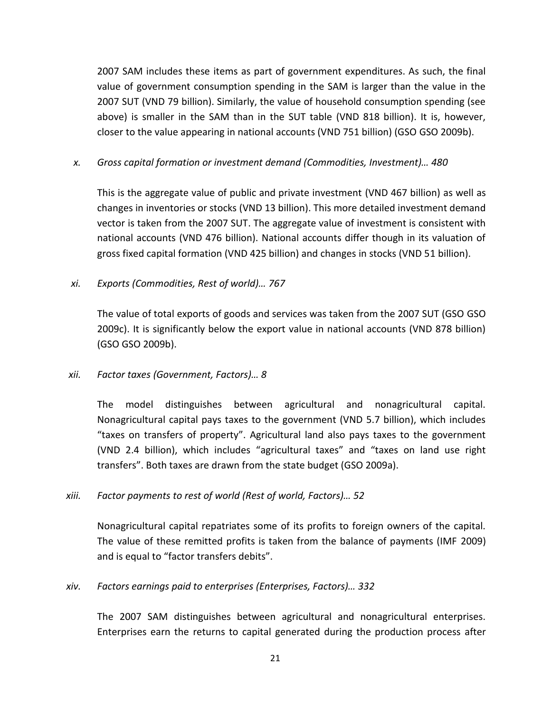2007 SAM includes these items as part of government expenditures. As such, the final value of government consumption spending in the SAM is larger than the value in the 2007 SUT (VND 79 billion). Similarly, the value of household consumption spending (see above) is smaller in the SAM than in the SUT table (VND 818 billion). It is, however, closer to the value appearing in national accounts (VND 751 billion) (GSO GSO 2009b).

#### *x. Gross capital formation or investment demand (Commodities, Investment)… 480*

This is the aggregate value of public and private investment (VND 467 billion) as well as changes in inventories or stocks (VND 13 billion). This more detailed investment demand vector is taken from the 2007 SUT. The aggregate value of investment is consistent with national accounts (VND 476 billion). National accounts differ though in its valuation of gross fixed capital formation (VND 425 billion) and changes in stocks (VND 51 billion).

#### *xi. Exports (Commodities, Rest of world)… 767*

The value of total exports of goods and services was taken from the 2007 SUT (GSO GSO 2009c). It is significantly below the export value in national accounts (VND 878 billion) (GSO GSO 2009b).

#### *xii. Factor taxes (Government, Factors)… 8*

The model distinguishes between agricultural and nonagricultural capital. Nonagricultural capital pays taxes to the government (VND 5.7 billion), which includes "taxes on transfers of property". Agricultural land also pays taxes to the government (VND 2.4 billion), which includes "agricultural taxes" and "taxes on land use right transfers". Both taxes are drawn from the state budget (GSO 2009a).

#### *xiii. Factor payments to rest of world (Rest of world, Factors)… 52*

Nonagricultural capital repatriates some of its profits to foreign owners of the capital. The value of these remitted profits is taken from the balance of payments (IMF 2009) and is equal to "factor transfers debits".

#### *xiv. Factors earnings paid to enterprises (Enterprises, Factors)… 332*

The 2007 SAM distinguishes between agricultural and nonagricultural enterprises. Enterprises earn the returns to capital generated during the production process after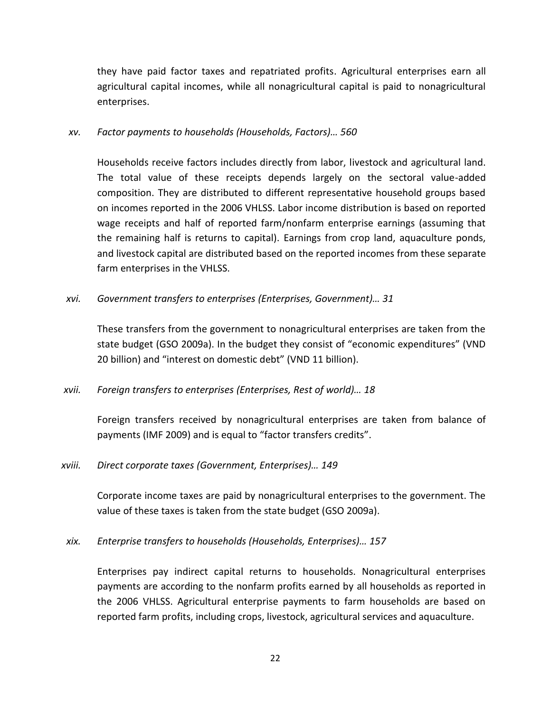they have paid factor taxes and repatriated profits. Agricultural enterprises earn all agricultural capital incomes, while all nonagricultural capital is paid to nonagricultural enterprises.

#### *xv. Factor payments to households (Households, Factors)… 560*

Households receive factors includes directly from labor, livestock and agricultural land. The total value of these receipts depends largely on the sectoral value-added composition. They are distributed to different representative household groups based on incomes reported in the 2006 VHLSS. Labor income distribution is based on reported wage receipts and half of reported farm/nonfarm enterprise earnings (assuming that the remaining half is returns to capital). Earnings from crop land, aquaculture ponds, and livestock capital are distributed based on the reported incomes from these separate farm enterprises in the VHLSS.

#### *xvi. Government transfers to enterprises (Enterprises, Government)… 31*

These transfers from the government to nonagricultural enterprises are taken from the state budget (GSO 2009a). In the budget they consist of "economic expenditures" (VND 20 billion) and "interest on domestic debt" (VND 11 billion).

#### *xvii. Foreign transfers to enterprises (Enterprises, Rest of world)… 18*

Foreign transfers received by nonagricultural enterprises are taken from balance of payments (IMF 2009) and is equal to "factor transfers credits".

#### *xviii. Direct corporate taxes (Government, Enterprises)… 149*

Corporate income taxes are paid by nonagricultural enterprises to the government. The value of these taxes is taken from the state budget (GSO 2009a).

#### *xix. Enterprise transfers to households (Households, Enterprises)… 157*

Enterprises pay indirect capital returns to households. Nonagricultural enterprises payments are according to the nonfarm profits earned by all households as reported in the 2006 VHLSS. Agricultural enterprise payments to farm households are based on reported farm profits, including crops, livestock, agricultural services and aquaculture.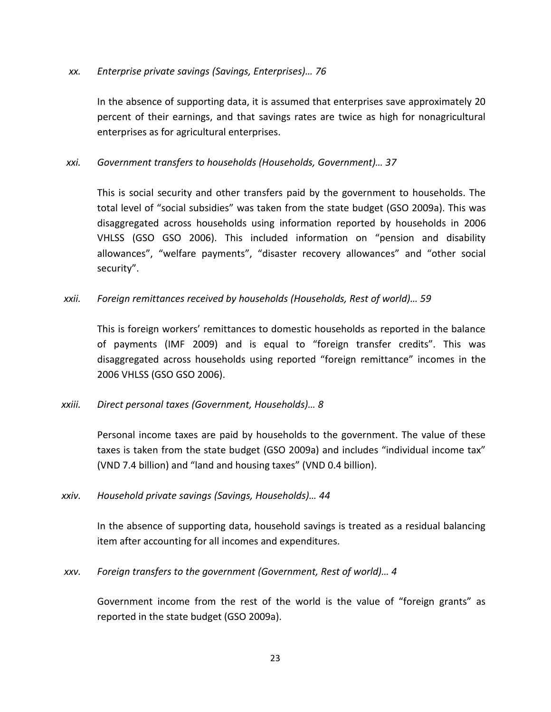#### *xx. Enterprise private savings (Savings, Enterprises)… 76*

In the absence of supporting data, it is assumed that enterprises save approximately 20 percent of their earnings, and that savings rates are twice as high for nonagricultural enterprises as for agricultural enterprises.

#### *xxi. Government transfers to households (Households, Government)… 37*

This is social security and other transfers paid by the government to households. The total level of "social subsidies" was taken from the state budget (GSO 2009a). This was disaggregated across households using information reported by households in 2006 VHLSS (GSO GSO 2006). This included information on "pension and disability allowances", "welfare payments", "disaster recovery allowances" and "other social security".

#### *xxii. Foreign remittances received by households (Households, Rest of world)… 59*

This is foreign workers' remittances to domestic households as reported in the balance of payments (IMF 2009) and is equal to "foreign transfer credits". This was disaggregated across households using reported "foreign remittance" incomes in the 2006 VHLSS (GSO GSO 2006).

*xxiii. Direct personal taxes (Government, Households)… 8* 

Personal income taxes are paid by households to the government. The value of these taxes is taken from the state budget (GSO 2009a) and includes "individual income tax" (VND 7.4 billion) and "land and housing taxes" (VND 0.4 billion).

*xxiv. Household private savings (Savings, Households)… 44*

In the absence of supporting data, household savings is treated as a residual balancing item after accounting for all incomes and expenditures.

*xxv. Foreign transfers to the government (Government, Rest of world)… 4* 

Government income from the rest of the world is the value of "foreign grants" as reported in the state budget (GSO 2009a).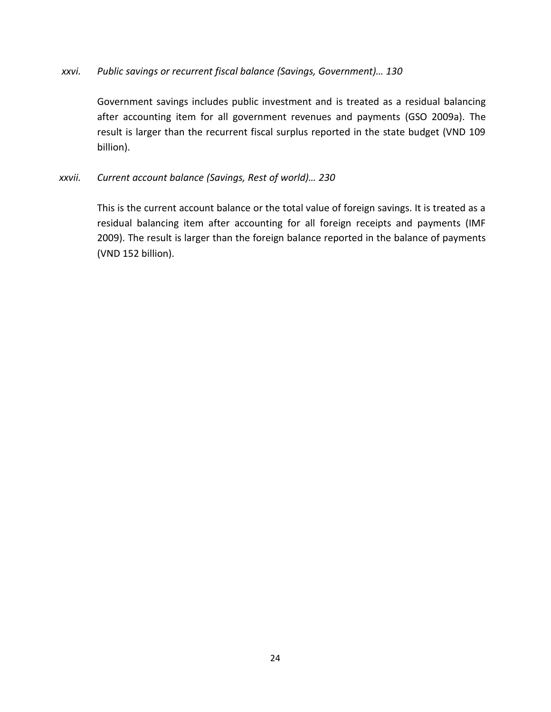#### *xxvi. Public savings or recurrent fiscal balance (Savings, Government)… 130*

Government savings includes public investment and is treated as a residual balancing after accounting item for all government revenues and payments (GSO 2009a). The result is larger than the recurrent fiscal surplus reported in the state budget (VND 109 billion).

#### *xxvii. Current account balance (Savings, Rest of world)… 230*

This is the current account balance or the total value of foreign savings. It is treated as a residual balancing item after accounting for all foreign receipts and payments (IMF 2009). The result is larger than the foreign balance reported in the balance of payments (VND 152 billion).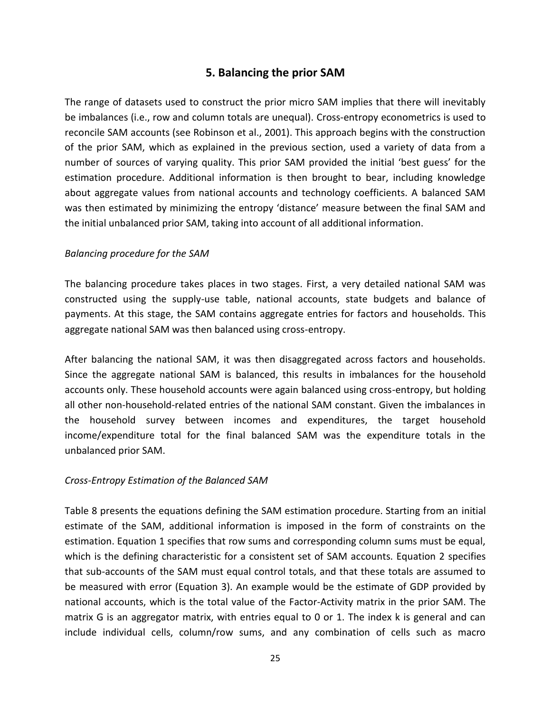# **5. Balancing the prior SAM**

The range of datasets used to construct the prior micro SAM implies that there will inevitably be imbalances (i.e., row and column totals are unequal). Cross-entropy econometrics is used to reconcile SAM accounts (see Robinson et al., 2001). This approach begins with the construction of the prior SAM, which as explained in the previous section, used a variety of data from a number of sources of varying quality. This prior SAM provided the initial 'best guess' for the estimation procedure. Additional information is then brought to bear, including knowledge about aggregate values from national accounts and technology coefficients. A balanced SAM was then estimated by minimizing the entropy 'distance' measure between the final SAM and the initial unbalanced prior SAM, taking into account of all additional information.

#### *Balancing procedure for the SAM*

The balancing procedure takes places in two stages. First, a very detailed national SAM was constructed using the supply-use table, national accounts, state budgets and balance of payments. At this stage, the SAM contains aggregate entries for factors and households. This aggregate national SAM was then balanced using cross-entropy.

After balancing the national SAM, it was then disaggregated across factors and households. Since the aggregate national SAM is balanced, this results in imbalances for the household accounts only. These household accounts were again balanced using cross-entropy, but holding all other non-household-related entries of the national SAM constant. Given the imbalances in the household survey between incomes and expenditures, the target household income/expenditure total for the final balanced SAM was the expenditure totals in the unbalanced prior SAM.

#### *Cross-Entropy Estimation of the Balanced SAM*

Table 8 presents the equations defining the SAM estimation procedure. Starting from an initial estimate of the SAM, additional information is imposed in the form of constraints on the estimation. Equation 1 specifies that row sums and corresponding column sums must be equal, which is the defining characteristic for a consistent set of SAM accounts. Equation 2 specifies that sub-accounts of the SAM must equal control totals, and that these totals are assumed to be measured with error (Equation 3). An example would be the estimate of GDP provided by national accounts, which is the total value of the Factor-Activity matrix in the prior SAM. The matrix G is an aggregator matrix, with entries equal to 0 or 1. The index k is general and can include individual cells, column/row sums, and any combination of cells such as macro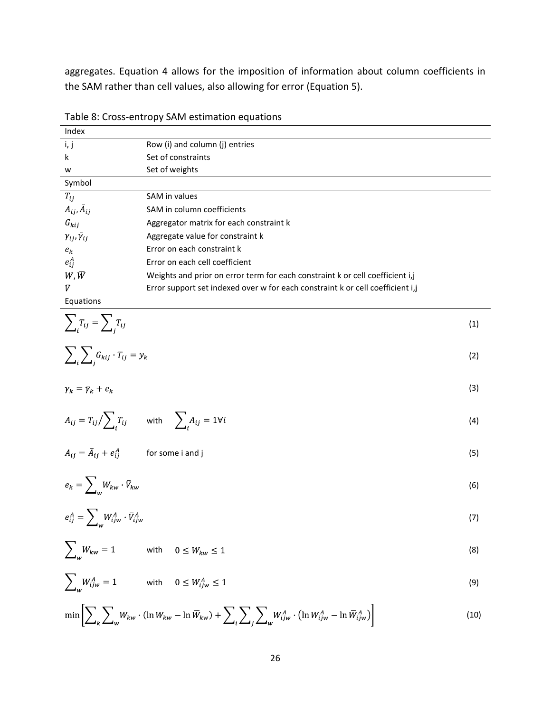aggregates. Equation 4 allows for the imposition of information about column coefficients in the SAM rather than cell values, also allowing for error (Equation 5).

| Index                            |                                                                                |     |
|----------------------------------|--------------------------------------------------------------------------------|-----|
| i, j                             | Row (i) and column (j) entries                                                 |     |
| k                                | Set of constraints                                                             |     |
| W                                | Set of weights                                                                 |     |
| Symbol                           |                                                                                |     |
| $T_{ij}$                         | SAM in values                                                                  |     |
| $A_{ij}, \overline{A}_{ij}$      | SAM in column coefficients                                                     |     |
| $G_{kij}$                        | Aggregator matrix for each constraint k                                        |     |
| $\gamma_{ij}, \bar{\gamma}_{ij}$ | Aggregate value for constraint k                                               |     |
| $e_k$                            | Error on each constraint k                                                     |     |
| $e_{ij}^A$                       | Error on each cell coefficient                                                 |     |
| $W, \overline{W}$                | Weights and prior on error term for each constraint k or cell coefficient i,j  |     |
| $\bar{V}$                        | Error support set indexed over w for each constraint k or cell coefficient i,j |     |
| Equations                        |                                                                                |     |
| $\sum T_{ij} =$                  |                                                                                | (1) |

Table 8: Cross-entropy SAM estimation equations

| $\sum_i \sum_j G_{kij} \cdot T_{ij} = y_k$ |  |
|--------------------------------------------|--|
|                                            |  |

$$
\gamma_k = \bar{\gamma}_k + e_k \tag{3}
$$

$$
A_{ij} = T_{ij} / \sum_{i} T_{ij} \quad \text{with} \quad \sum_{i} A_{ij} = 1 \forall i
$$
 (4)

 $A_{ij} = \overline{A}_{ij} + e_{ij}^A$  for some i and j (5)

$$
e_k = \sum_{w} W_{kw} \cdot \bar{V}_{kw} \tag{6}
$$

$$
e_{ij}^A = \sum_{w} W_{ijw}^A \cdot \overline{V}_{ijw}^A \tag{7}
$$

$$
\sum_{w} W_{kw} = 1 \qquad \text{with} \qquad 0 \le W_{kw} \le 1 \tag{8}
$$

$$
\sum_{w} W_{ijw}^A = 1 \qquad \text{with} \qquad 0 \le W_{ijw}^A \le 1 \tag{9}
$$

$$
\min \left[ \sum_{k} \sum_{w} W_{kw} \cdot (\ln W_{kw} - \ln \overline{W}_{kw}) + \sum_{i} \sum_{j} \sum_{w} W_{ijw}^{A} \cdot (\ln W_{ijw}^{A} - \ln \overline{W}_{ijw}^{A}) \right]
$$
(10)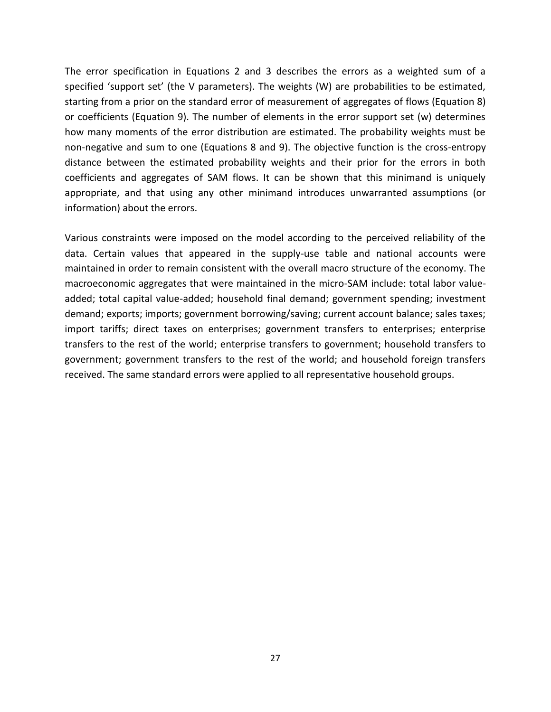The error specification in Equations 2 and 3 describes the errors as a weighted sum of a specified 'support set' (the V parameters). The weights (W) are probabilities to be estimated, starting from a prior on the standard error of measurement of aggregates of flows (Equation 8) or coefficients (Equation 9). The number of elements in the error support set (w) determines how many moments of the error distribution are estimated. The probability weights must be non-negative and sum to one (Equations 8 and 9). The objective function is the cross-entropy distance between the estimated probability weights and their prior for the errors in both coefficients and aggregates of SAM flows. It can be shown that this minimand is uniquely appropriate, and that using any other minimand introduces unwarranted assumptions (or information) about the errors.

Various constraints were imposed on the model according to the perceived reliability of the data. Certain values that appeared in the supply-use table and national accounts were maintained in order to remain consistent with the overall macro structure of the economy. The macroeconomic aggregates that were maintained in the micro-SAM include: total labor valueadded; total capital value-added; household final demand; government spending; investment demand; exports; imports; government borrowing/saving; current account balance; sales taxes; import tariffs; direct taxes on enterprises; government transfers to enterprises; enterprise transfers to the rest of the world; enterprise transfers to government; household transfers to government; government transfers to the rest of the world; and household foreign transfers received. The same standard errors were applied to all representative household groups.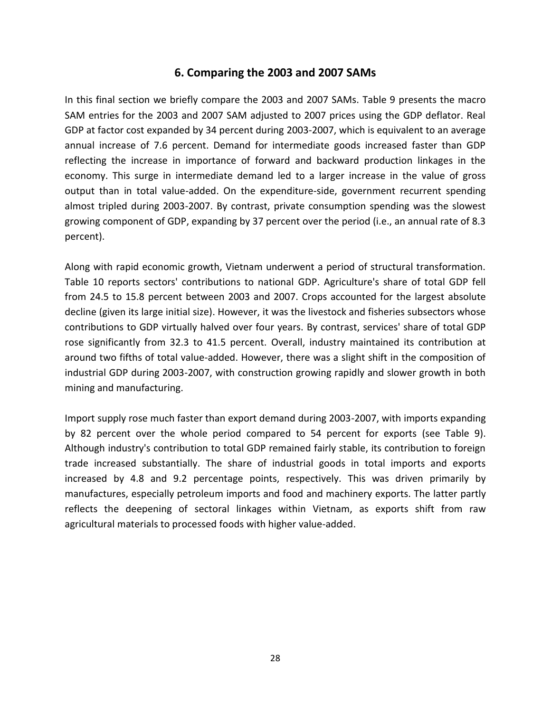# **6. Comparing the 2003 and 2007 SAMs**

In this final section we briefly compare the 2003 and 2007 SAMs. Table 9 presents the macro SAM entries for the 2003 and 2007 SAM adjusted to 2007 prices using the GDP deflator. Real GDP at factor cost expanded by 34 percent during 2003-2007, which is equivalent to an average annual increase of 7.6 percent. Demand for intermediate goods increased faster than GDP reflecting the increase in importance of forward and backward production linkages in the economy. This surge in intermediate demand led to a larger increase in the value of gross output than in total value-added. On the expenditure-side, government recurrent spending almost tripled during 2003-2007. By contrast, private consumption spending was the slowest growing component of GDP, expanding by 37 percent over the period (i.e., an annual rate of 8.3 percent).

Along with rapid economic growth, Vietnam underwent a period of structural transformation. Table 10 reports sectors' contributions to national GDP. Agriculture's share of total GDP fell from 24.5 to 15.8 percent between 2003 and 2007. Crops accounted for the largest absolute decline (given its large initial size). However, it was the livestock and fisheries subsectors whose contributions to GDP virtually halved over four years. By contrast, services' share of total GDP rose significantly from 32.3 to 41.5 percent. Overall, industry maintained its contribution at around two fifths of total value-added. However, there was a slight shift in the composition of industrial GDP during 2003-2007, with construction growing rapidly and slower growth in both mining and manufacturing.

Import supply rose much faster than export demand during 2003-2007, with imports expanding by 82 percent over the whole period compared to 54 percent for exports (see Table 9). Although industry's contribution to total GDP remained fairly stable, its contribution to foreign trade increased substantially. The share of industrial goods in total imports and exports increased by 4.8 and 9.2 percentage points, respectively. This was driven primarily by manufactures, especially petroleum imports and food and machinery exports. The latter partly reflects the deepening of sectoral linkages within Vietnam, as exports shift from raw agricultural materials to processed foods with higher value-added.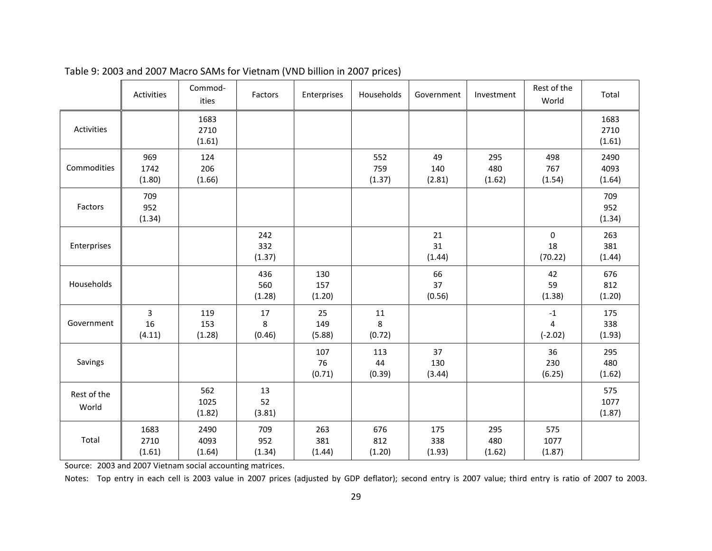|                      | Activities             | Commod-<br>ities       | Factors                 | Enterprises          | Households           | Government           | Investment           | Rest of the<br>World                                | Total                  |
|----------------------|------------------------|------------------------|-------------------------|----------------------|----------------------|----------------------|----------------------|-----------------------------------------------------|------------------------|
| Activities           |                        | 1683<br>2710<br>(1.61) |                         |                      |                      |                      |                      |                                                     | 1683<br>2710<br>(1.61) |
| Commodities          | 969<br>1742<br>(1.80)  | 124<br>206<br>(1.66)   |                         |                      | 552<br>759<br>(1.37) | 49<br>140<br>(2.81)  | 295<br>480<br>(1.62) | 498<br>767<br>(1.54)                                | 2490<br>4093<br>(1.64) |
| Factors              | 709<br>952<br>(1.34)   |                        |                         |                      |                      |                      |                      |                                                     | 709<br>952<br>(1.34)   |
| Enterprises          |                        |                        | 242<br>332<br>(1.37)    |                      |                      | 21<br>31<br>(1.44)   |                      | $\pmb{0}$<br>18<br>(70.22)                          | 263<br>381<br>(1.44)   |
| Households           |                        |                        | 436<br>560<br>(1.28)    | 130<br>157<br>(1.20) |                      | 66<br>37<br>(0.56)   |                      | 42<br>59<br>(1.38)                                  | 676<br>812<br>(1.20)   |
| Government           | 3<br>16<br>(4.11)      | 119<br>153<br>(1.28)   | 17<br>$\,8\,$<br>(0.46) | 25<br>149<br>(5.88)  | 11<br>8<br>(0.72)    |                      |                      | $^{\rm -1}$<br>$\overline{\mathbf{4}}$<br>$(-2.02)$ | 175<br>338<br>(1.93)   |
| Savings              |                        |                        |                         | 107<br>76<br>(0.71)  | 113<br>44<br>(0.39)  | 37<br>130<br>(3.44)  |                      | 36<br>230<br>(6.25)                                 | 295<br>480<br>(1.62)   |
| Rest of the<br>World |                        | 562<br>1025<br>(1.82)  | 13<br>52<br>(3.81)      |                      |                      |                      |                      |                                                     | 575<br>1077<br>(1.87)  |
| Total                | 1683<br>2710<br>(1.61) | 2490<br>4093<br>(1.64) | 709<br>952<br>(1.34)    | 263<br>381<br>(1.44) | 676<br>812<br>(1.20) | 175<br>338<br>(1.93) | 295<br>480<br>(1.62) | 575<br>1077<br>(1.87)                               |                        |

Table 9: 2003 and 2007 Macro SAMs for Vietnam (VND billion in 2007 prices)

Source: 2003 and 2007 Vietnam social accounting matrices.

Notes: Top entry in each cell is 2003 value in 2007 prices (adjusted by GDP deflator); second entry is 2007 value; third entry is ratio of 2007 to 2003.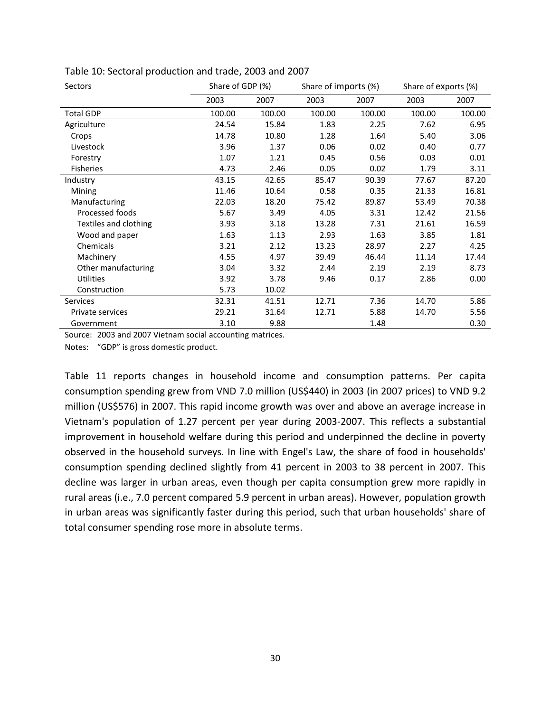| <b>Sectors</b>        | Share of GDP (%) |        | Share of imports (%) |        | Share of exports (%) |        |
|-----------------------|------------------|--------|----------------------|--------|----------------------|--------|
|                       | 2003             | 2007   | 2003                 | 2007   | 2003                 | 2007   |
| <b>Total GDP</b>      | 100.00           | 100.00 | 100.00               | 100.00 | 100.00               | 100.00 |
| Agriculture           | 24.54            | 15.84  | 1.83                 | 2.25   | 7.62                 | 6.95   |
| Crops                 | 14.78            | 10.80  | 1.28                 | 1.64   | 5.40                 | 3.06   |
| Livestock             | 3.96             | 1.37   | 0.06                 | 0.02   | 0.40                 | 0.77   |
| Forestry              | 1.07             | 1.21   | 0.45                 | 0.56   | 0.03                 | 0.01   |
| <b>Fisheries</b>      | 4.73             | 2.46   | 0.05                 | 0.02   | 1.79                 | 3.11   |
| Industry              | 43.15            | 42.65  | 85.47                | 90.39  | 77.67                | 87.20  |
| Mining                | 11.46            | 10.64  | 0.58                 | 0.35   | 21.33                | 16.81  |
| Manufacturing         | 22.03            | 18.20  | 75.42                | 89.87  | 53.49                | 70.38  |
| Processed foods       | 5.67             | 3.49   | 4.05                 | 3.31   | 12.42                | 21.56  |
| Textiles and clothing | 3.93             | 3.18   | 13.28                | 7.31   | 21.61                | 16.59  |
| Wood and paper        | 1.63             | 1.13   | 2.93                 | 1.63   | 3.85                 | 1.81   |
| Chemicals             | 3.21             | 2.12   | 13.23                | 28.97  | 2.27                 | 4.25   |
| Machinery             | 4.55             | 4.97   | 39.49                | 46.44  | 11.14                | 17.44  |
| Other manufacturing   | 3.04             | 3.32   | 2.44                 | 2.19   | 2.19                 | 8.73   |
| <b>Utilities</b>      | 3.92             | 3.78   | 9.46                 | 0.17   | 2.86                 | 0.00   |
| Construction          | 5.73             | 10.02  |                      |        |                      |        |
| <b>Services</b>       | 32.31            | 41.51  | 12.71                | 7.36   | 14.70                | 5.86   |
| Private services      | 29.21            | 31.64  | 12.71                | 5.88   | 14.70                | 5.56   |
| Government            | 3.10             | 9.88   |                      | 1.48   |                      | 0.30   |

Table 10: Sectoral production and trade, 2003 and 2007

Source: 2003 and 2007 Vietnam social accounting matrices.

Notes: "GDP" is gross domestic product.

Table 11 reports changes in household income and consumption patterns. Per capita consumption spending grew from VND 7.0 million (US\$440) in 2003 (in 2007 prices) to VND 9.2 million (US\$576) in 2007. This rapid income growth was over and above an average increase in Vietnam's population of 1.27 percent per year during 2003-2007. This reflects a substantial improvement in household welfare during this period and underpinned the decline in poverty observed in the household surveys. In line with Engel's Law, the share of food in households' consumption spending declined slightly from 41 percent in 2003 to 38 percent in 2007. This decline was larger in urban areas, even though per capita consumption grew more rapidly in rural areas (i.e., 7.0 percent compared 5.9 percent in urban areas). However, population growth in urban areas was significantly faster during this period, such that urban households' share of total consumer spending rose more in absolute terms.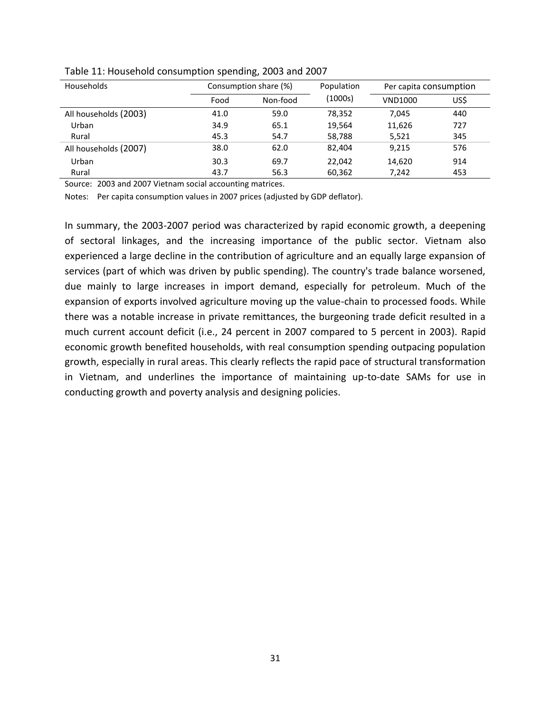| Households            | Consumption share (%) |          | Population | Per capita consumption |      |
|-----------------------|-----------------------|----------|------------|------------------------|------|
|                       | Food                  | Non-food | (1000s)    | <b>VND1000</b>         | US\$ |
| All households (2003) | 41.0                  | 59.0     | 78,352     | 7,045                  | 440  |
| Urban                 | 34.9                  | 65.1     | 19,564     | 11.626                 | 727  |
| Rural                 | 45.3                  | 54.7     | 58,788     | 5,521                  | 345  |
| All households (2007) | 38.0                  | 62.0     | 82,404     | 9,215                  | 576  |
| Urban                 | 30.3                  | 69.7     | 22,042     | 14.620                 | 914  |
| Rural                 | 43.7                  | 56.3     | 60,362     | 7.242                  | 453  |

Table 11: Household consumption spending, 2003 and 2007

Source: 2003 and 2007 Vietnam social accounting matrices.

Notes: Per capita consumption values in 2007 prices (adjusted by GDP deflator).

In summary, the 2003-2007 period was characterized by rapid economic growth, a deepening of sectoral linkages, and the increasing importance of the public sector. Vietnam also experienced a large decline in the contribution of agriculture and an equally large expansion of services (part of which was driven by public spending). The country's trade balance worsened, due mainly to large increases in import demand, especially for petroleum. Much of the expansion of exports involved agriculture moving up the value-chain to processed foods. While there was a notable increase in private remittances, the burgeoning trade deficit resulted in a much current account deficit (i.e., 24 percent in 2007 compared to 5 percent in 2003). Rapid economic growth benefited households, with real consumption spending outpacing population growth, especially in rural areas. This clearly reflects the rapid pace of structural transformation in Vietnam, and underlines the importance of maintaining up-to-date SAMs for use in conducting growth and poverty analysis and designing policies.